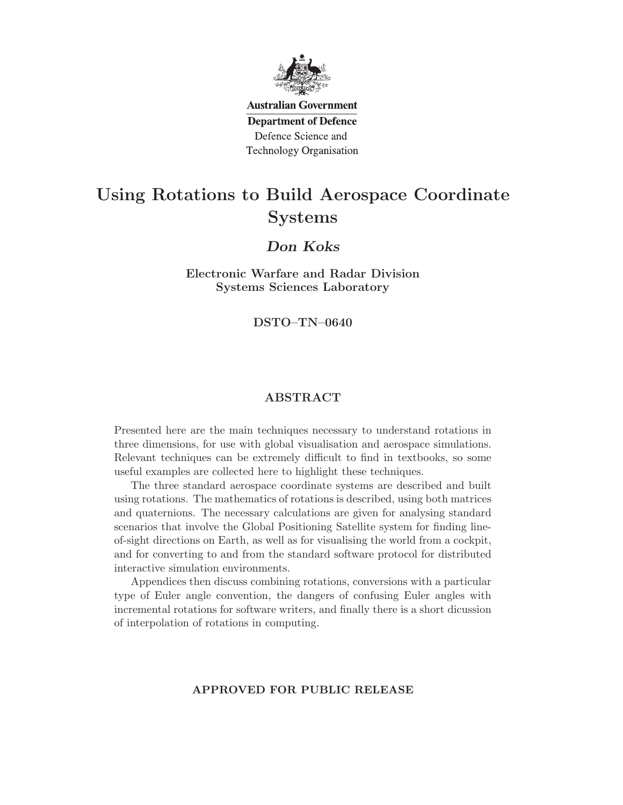

**Australian Government Department of Defence** Defence Science and **Technology Organisation** 

# Using Rotations to Build Aerospace Coordinate Systems

### Don Koks

Electronic Warfare and Radar Division Systems Sciences Laboratory

DSTO–TN–0640

#### ABSTRACT

Presented here are the main techniques necessary to understand rotations in three dimensions, for use with global visualisation and aerospace simulations. Relevant techniques can be extremely difficult to find in textbooks, so some useful examples are collected here to highlight these techniques.

The three standard aerospace coordinate systems are described and built using rotations. The mathematics of rotations is described, using both matrices and quaternions. The necessary calculations are given for analysing standard scenarios that involve the Global Positioning Satellite system for finding lineof-sight directions on Earth, as well as for visualising the world from a cockpit, and for converting to and from the standard software protocol for distributed interactive simulation environments.

Appendices then discuss combining rotations, conversions with a particular type of Euler angle convention, the dangers of confusing Euler angles with incremental rotations for software writers, and finally there is a short dicussion of interpolation of rotations in computing.

#### APPROVED FOR PUBLIC RELEASE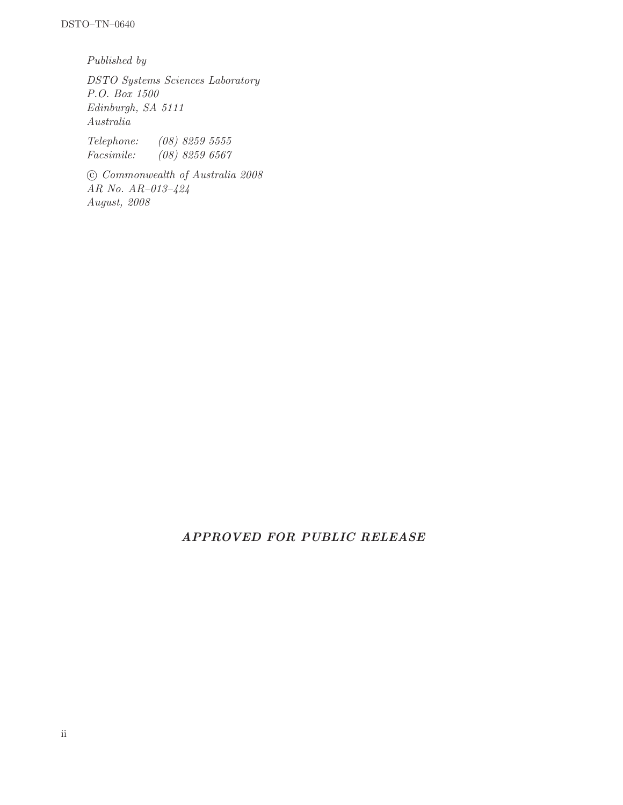Published by

DSTO Systems Sciences Laboratory P.O. Box 1500 Edinburgh, SA 5111 Australia

Telephone: (08) 8259 5555 Facsimile: (08) 8259 6567

 c Commonwealth of Australia 2008 AR No. AR–013–424 August, 2008

### APPROVED FOR PUBLIC RELEASE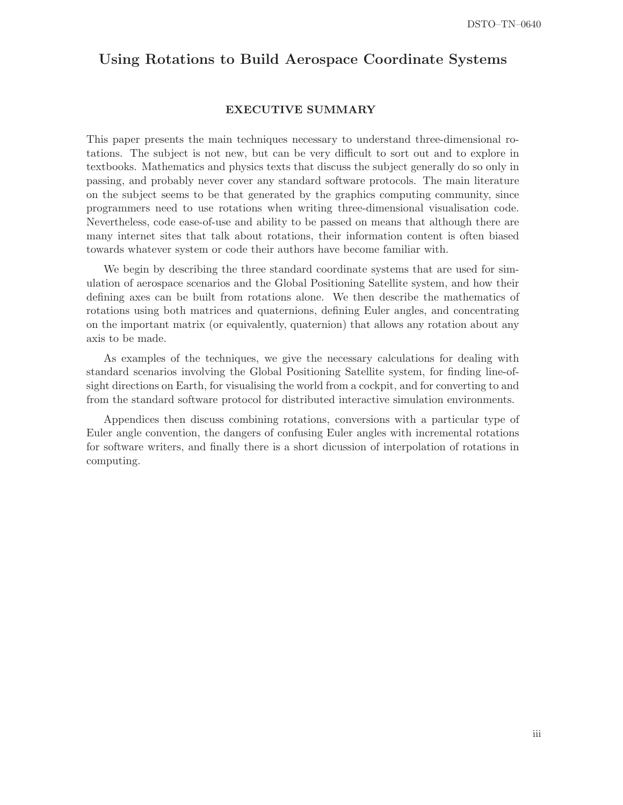### Using Rotations to Build Aerospace Coordinate Systems

#### EXECUTIVE SUMMARY

This paper presents the main techniques necessary to understand three-dimensional rotations. The subject is not new, but can be very difficult to sort out and to explore in textbooks. Mathematics and physics texts that discuss the subject generally do so only in passing, and probably never cover any standard software protocols. The main literature on the subject seems to be that generated by the graphics computing community, since programmers need to use rotations when writing three-dimensional visualisation code. Nevertheless, code ease-of-use and ability to be passed on means that although there are many internet sites that talk about rotations, their information content is often biased towards whatever system or code their authors have become familiar with.

We begin by describing the three standard coordinate systems that are used for simulation of aerospace scenarios and the Global Positioning Satellite system, and how their defining axes can be built from rotations alone. We then describe the mathematics of rotations using both matrices and quaternions, defining Euler angles, and concentrating on the important matrix (or equivalently, quaternion) that allows any rotation about any axis to be made.

As examples of the techniques, we give the necessary calculations for dealing with standard scenarios involving the Global Positioning Satellite system, for finding line-ofsight directions on Earth, for visualising the world from a cockpit, and for converting to and from the standard software protocol for distributed interactive simulation environments.

Appendices then discuss combining rotations, conversions with a particular type of Euler angle convention, the dangers of confusing Euler angles with incremental rotations for software writers, and finally there is a short dicussion of interpolation of rotations in computing.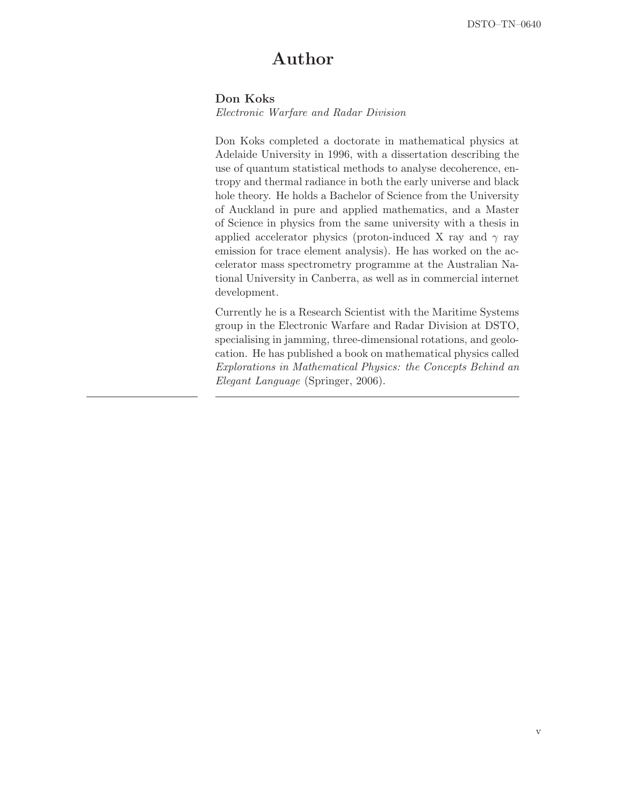## Author

#### Don Koks

Electronic Warfare and Radar Division

Don Koks completed a doctorate in mathematical physics at Adelaide University in 1996, with a dissertation describing the use of quantum statistical methods to analyse decoherence, entropy and thermal radiance in both the early universe and black hole theory. He holds a Bachelor of Science from the University of Auckland in pure and applied mathematics, and a Master of Science in physics from the same university with a thesis in applied accelerator physics (proton-induced X ray and  $\gamma$  ray emission for trace element analysis). He has worked on the accelerator mass spectrometry programme at the Australian National University in Canberra, as well as in commercial internet development.

Currently he is a Research Scientist with the Maritime Systems group in the Electronic Warfare and Radar Division at DSTO, specialising in jamming, three-dimensional rotations, and geolocation. He has published a book on mathematical physics called Explorations in Mathematical Physics: the Concepts Behind an Elegant Language (Springer, 2006).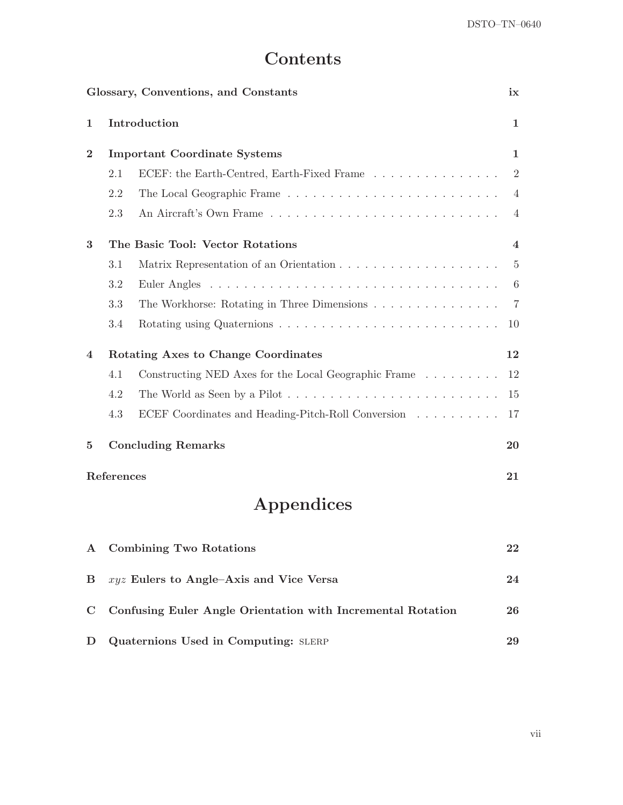# Contents

|              |            | Glossary, Conventions, and Constants                        | ix                      |
|--------------|------------|-------------------------------------------------------------|-------------------------|
| 1            |            | Introduction                                                | 1                       |
| $\bf{2}$     |            | <b>Important Coordinate Systems</b>                         | $\mathbf 1$             |
|              | 2.1        | ECEF: the Earth-Centred, Earth-Fixed Frame                  | $\overline{2}$          |
|              | 2.2        |                                                             | 4                       |
|              | 2.3        |                                                             | 4                       |
| 3            |            | The Basic Tool: Vector Rotations                            | $\overline{\mathbf{4}}$ |
|              | 3.1        |                                                             | $5\,$                   |
|              | 3.2        | Euler Angles                                                | 6                       |
|              | 3.3        | The Workhorse: Rotating in Three Dimensions                 | 7                       |
|              | 3.4        |                                                             | 10                      |
| 4            |            | Rotating Axes to Change Coordinates                         | 12                      |
|              | 4.1        | Constructing NED Axes for the Local Geographic Frame        | 12                      |
|              | 4.2        |                                                             | 15                      |
|              | 4.3        | ECEF Coordinates and Heading-Pitch-Roll Conversion          | 17                      |
| 5            |            | <b>Concluding Remarks</b>                                   | 20                      |
|              | References |                                                             | 21                      |
|              |            | Appendices                                                  |                         |
| $\mathbf{A}$ |            | <b>Combining Two Rotations</b>                              | 22                      |
| $\bf{B}$     |            | $xyz$ Eulers to Angle-Axis and Vice Versa                   | 24                      |
| $\mathbf C$  |            | Confusing Euler Angle Orientation with Incremental Rotation | 26                      |

D Quaternions Used in Computing: SLERP 29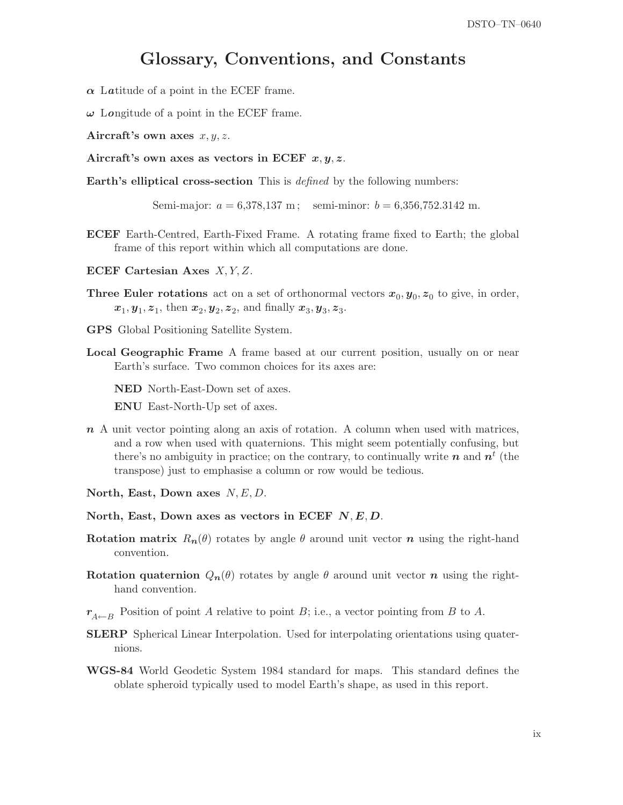## Glossary, Conventions, and Constants

 $\alpha$  Latitude of a point in the ECEF frame.

 $\omega$  Longitude of a point in the ECEF frame.

Aircraft's own axes  $x, y, z$ .

Aircraft's own axes as vectors in ECEF  $x, y, z$ .

Earth's elliptical cross-section This is defined by the following numbers:

Semi-major:  $a = 6,378,137$  m; semi-minor:  $b = 6,356,752.3142$  m.

- ECEF Earth-Centred, Earth-Fixed Frame. A rotating frame fixed to Earth; the global frame of this report within which all computations are done.
- ECEF Cartesian Axes X, Y, Z.
- **Three Euler rotations** act on a set of orthonormal vectors  $x_0, y_0, z_0$  to give, in order,  $x_1, y_1, z_1$ , then  $x_2, y_2, z_2$ , and finally  $x_3, y_3, z_3$ .
- GPS Global Positioning Satellite System.
- Local Geographic Frame A frame based at our current position, usually on or near Earth's surface. Two common choices for its axes are:

NED North-East-Down set of axes.

ENU East-North-Up set of axes.

- n A unit vector pointing along an axis of rotation. A column when used with matrices, and a row when used with quaternions. This might seem potentially confusing, but there's no ambiguity in practice; on the contrary, to continually write  $n$  and  $n<sup>t</sup>$  (the transpose) just to emphasise a column or row would be tedious.
- North, East, Down axes  $N, E, D$ .
- North, East, Down axes as vectors in ECEF  $N, E, D$ .
- Rotation matrix  $R_n(\theta)$  rotates by angle  $\theta$  around unit vector n using the right-hand convention.
- Rotation quaternion  $Q_n(\theta)$  rotates by angle  $\theta$  around unit vector n using the righthand convention.
- $r_{A\leftarrow B}$  Position of point A relative to point B; i.e., a vector pointing from B to A.
- SLERP Spherical Linear Interpolation. Used for interpolating orientations using quaternions.
- WGS-84 World Geodetic System 1984 standard for maps. This standard defines the oblate spheroid typically used to model Earth's shape, as used in this report.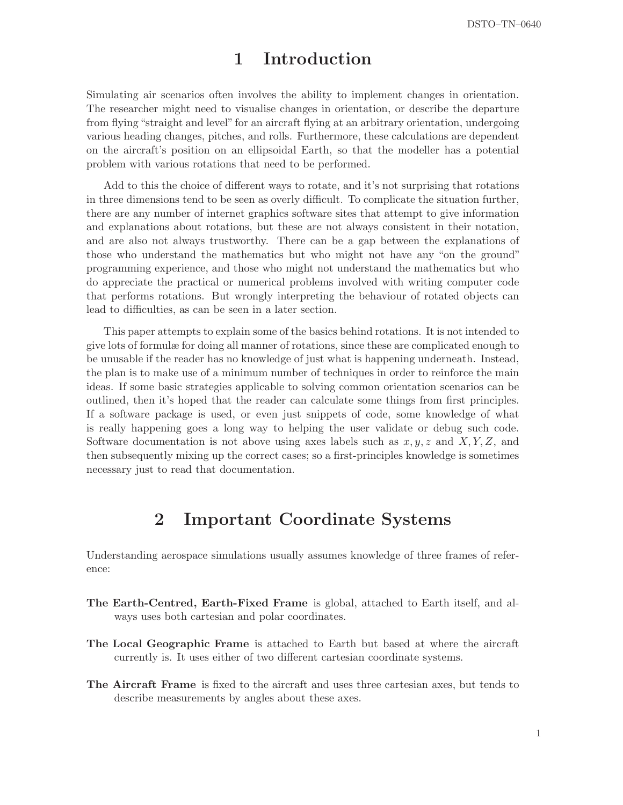## 1 Introduction

Simulating air scenarios often involves the ability to implement changes in orientation. The researcher might need to visualise changes in orientation, or describe the departure from flying "straight and level" for an aircraft flying at an arbitrary orientation, undergoing various heading changes, pitches, and rolls. Furthermore, these calculations are dependent on the aircraft's position on an ellipsoidal Earth, so that the modeller has a potential problem with various rotations that need to be performed.

Add to this the choice of different ways to rotate, and it's not surprising that rotations in three dimensions tend to be seen as overly difficult. To complicate the situation further, there are any number of internet graphics software sites that attempt to give information and explanations about rotations, but these are not always consistent in their notation, and are also not always trustworthy. There can be a gap between the explanations of those who understand the mathematics but who might not have any "on the ground" programming experience, and those who might not understand the mathematics but who do appreciate the practical or numerical problems involved with writing computer code that performs rotations. But wrongly interpreting the behaviour of rotated objects can lead to difficulties, as can be seen in a later section.

This paper attempts to explain some of the basics behind rotations. It is not intended to give lots of formulæ for doing all manner of rotations, since these are complicated enough to be unusable if the reader has no knowledge of just what is happening underneath. Instead, the plan is to make use of a minimum number of techniques in order to reinforce the main ideas. If some basic strategies applicable to solving common orientation scenarios can be outlined, then it's hoped that the reader can calculate some things from first principles. If a software package is used, or even just snippets of code, some knowledge of what is really happening goes a long way to helping the user validate or debug such code. Software documentation is not above using axes labels such as  $x, y, z$  and  $X, Y, Z$ , and then subsequently mixing up the correct cases; so a first-principles knowledge is sometimes necessary just to read that documentation.

## 2 Important Coordinate Systems

Understanding aerospace simulations usually assumes knowledge of three frames of reference:

- The Earth-Centred, Earth-Fixed Frame is global, attached to Earth itself, and always uses both cartesian and polar coordinates.
- The Local Geographic Frame is attached to Earth but based at where the aircraft currently is. It uses either of two different cartesian coordinate systems.
- The Aircraft Frame is fixed to the aircraft and uses three cartesian axes, but tends to describe measurements by angles about these axes.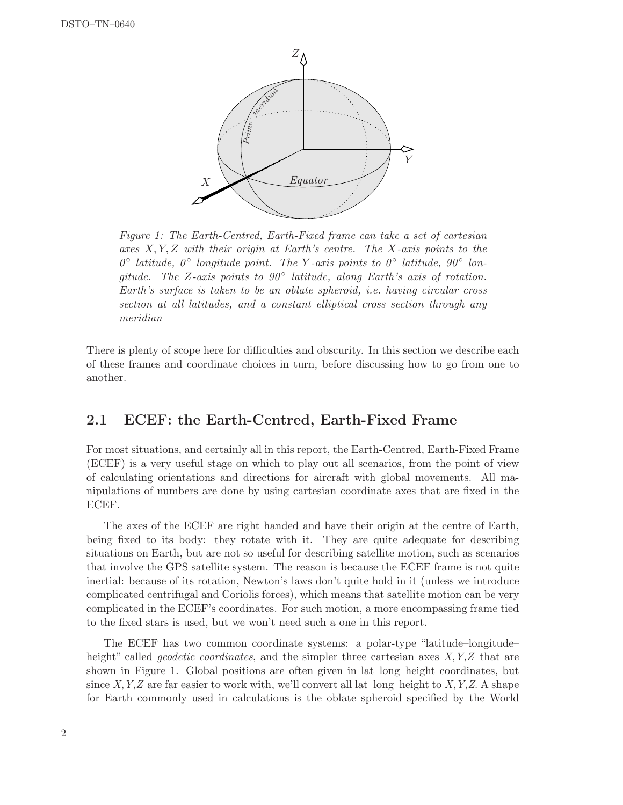

Figure 1: The Earth-Centred, Earth-Fixed frame can take a set of cartesian axes  $X, Y, Z$  with their origin at Earth's centre. The X-axis points to the  $0^{\circ}$  latitude,  $0^{\circ}$  longitude point. The Y-axis points to  $0^{\circ}$  latitude,  $90^{\circ}$  longitude. The Z-axis points to  $90^{\circ}$  latitude, along Earth's axis of rotation. Earth's surface is taken to be an oblate spheroid, i.e. having circular cross section at all latitudes, and a constant elliptical cross section through any meridian

There is plenty of scope here for difficulties and obscurity. In this section we describe each of these frames and coordinate choices in turn, before discussing how to go from one to another.

### 2.1 ECEF: the Earth-Centred, Earth-Fixed Frame

For most situations, and certainly all in this report, the Earth-Centred, Earth-Fixed Frame (ECEF) is a very useful stage on which to play out all scenarios, from the point of view of calculating orientations and directions for aircraft with global movements. All manipulations of numbers are done by using cartesian coordinate axes that are fixed in the ECEF.

The axes of the ECEF are right handed and have their origin at the centre of Earth, being fixed to its body: they rotate with it. They are quite adequate for describing situations on Earth, but are not so useful for describing satellite motion, such as scenarios that involve the GPS satellite system. The reason is because the ECEF frame is not quite inertial: because of its rotation, Newton's laws don't quite hold in it (unless we introduce complicated centrifugal and Coriolis forces), which means that satellite motion can be very complicated in the ECEF's coordinates. For such motion, a more encompassing frame tied to the fixed stars is used, but we won't need such a one in this report.

The ECEF has two common coordinate systems: a polar-type "latitude–longitude– height" called *geodetic coordinates*, and the simpler three cartesian axes  $X, Y, Z$  that are shown in Figure 1. Global positions are often given in lat–long–height coordinates, but since X, Y, Z are far easier to work with, we'll convert all lat-long-height to X, Y, Z. A shape for Earth commonly used in calculations is the oblate spheroid specified by the World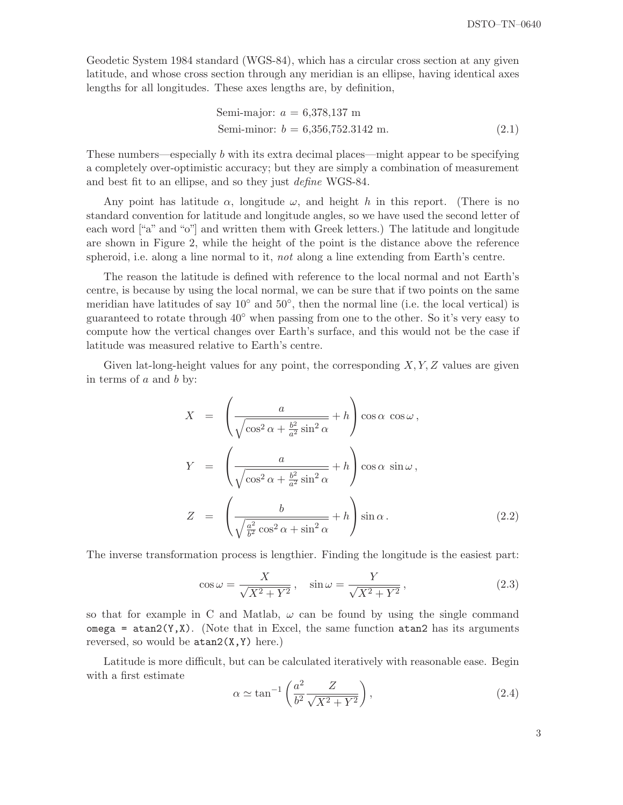Geodetic System 1984 standard (WGS-84), which has a circular cross section at any given latitude, and whose cross section through any meridian is an ellipse, having identical axes lengths for all longitudes. These axes lengths are, by definition,

Semi-major: 
$$
a = 6,378,137 \text{ m}
$$
  
\nSemi-minor:  $b = 6,356,752.3142 \text{ m}$ . (2.1)

These numbers—especially b with its extra decimal places—might appear to be specifying a completely over-optimistic accuracy; but they are simply a combination of measurement and best fit to an ellipse, and so they just define WGS-84.

Any point has latitude  $\alpha$ , longitude  $\omega$ , and height h in this report. (There is no standard convention for latitude and longitude angles, so we have used the second letter of each word ["a" and "o"] and written them with Greek letters.) The latitude and longitude are shown in Figure 2, while the height of the point is the distance above the reference spheroid, i.e. along a line normal to it, not along a line extending from Earth's centre.

The reason the latitude is defined with reference to the local normal and not Earth's centre, is because by using the local normal, we can be sure that if two points on the same meridian have latitudes of say 10<sup>°</sup> and 50<sup>°</sup>, then the normal line (i.e. the local vertical) is guaranteed to rotate through 40◦ when passing from one to the other. So it's very easy to compute how the vertical changes over Earth's surface, and this would not be the case if latitude was measured relative to Earth's centre.

Given lat-long-height values for any point, the corresponding  $X, Y, Z$  values are given in terms of  $a$  and  $b$  by:

$$
X = \left(\frac{a}{\sqrt{\cos^2 \alpha + \frac{b^2}{a^2} \sin^2 \alpha}} + h\right) \cos \alpha \cos \omega,
$$
  
\n
$$
Y = \left(\frac{a}{\sqrt{\cos^2 \alpha + \frac{b^2}{a^2} \sin^2 \alpha}} + h\right) \cos \alpha \sin \omega,
$$
  
\n
$$
Z = \left(\frac{b}{\sqrt{\frac{a^2}{b^2} \cos^2 \alpha + \sin^2 \alpha}} + h\right) \sin \alpha.
$$
\n(2.2)

The inverse transformation process is lengthier. Finding the longitude is the easiest part:

$$
\cos \omega = \frac{X}{\sqrt{X^2 + Y^2}}, \quad \sin \omega = \frac{Y}{\sqrt{X^2 + Y^2}}, \tag{2.3}
$$

so that for example in C and Matlab,  $\omega$  can be found by using the single command omega =  $atan2(Y, X)$ . (Note that in Excel, the same function  $atan2$  has its arguments reversed, so would be  $atan2(X, Y)$  here.)

Latitude is more difficult, but can be calculated iteratively with reasonable ease. Begin with a first estimate

$$
\alpha \simeq \tan^{-1} \left( \frac{a^2}{b^2} \frac{Z}{\sqrt{X^2 + Y^2}} \right),\tag{2.4}
$$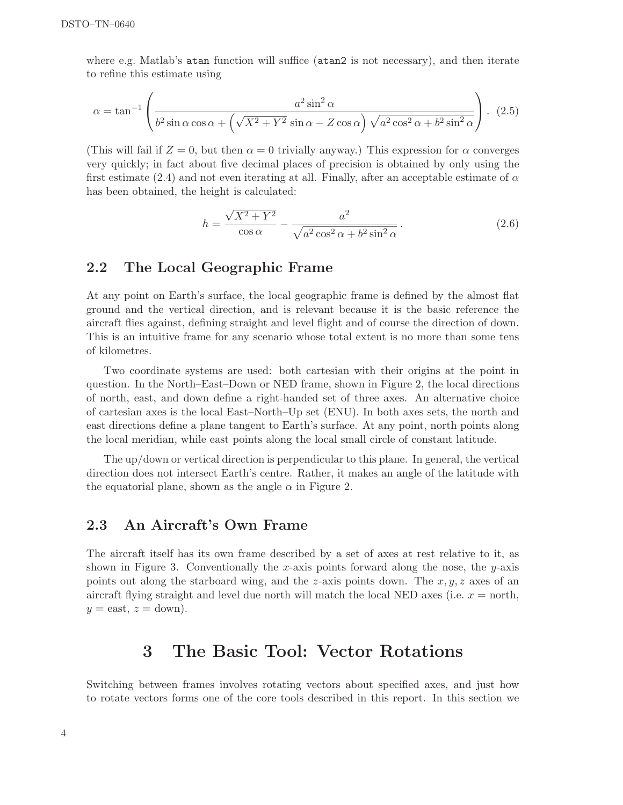where e.g. Matlab's atan function will suffice (atan2 is not necessary), and then iterate to refine this estimate using

$$
\alpha = \tan^{-1}\left(\frac{a^2 \sin^2 \alpha}{b^2 \sin \alpha \cos \alpha + \left(\sqrt{X^2 + Y^2} \sin \alpha - Z \cos \alpha\right) \sqrt{a^2 \cos^2 \alpha + b^2 \sin^2 \alpha}}\right). (2.5)
$$

(This will fail if  $Z = 0$ , but then  $\alpha = 0$  trivially anyway.) This expression for  $\alpha$  converges very quickly; in fact about five decimal places of precision is obtained by only using the first estimate (2.4) and not even iterating at all. Finally, after an acceptable estimate of  $\alpha$ has been obtained, the height is calculated:

$$
h = \frac{\sqrt{X^2 + Y^2}}{\cos \alpha} - \frac{a^2}{\sqrt{a^2 \cos^2 \alpha + b^2 \sin^2 \alpha}}.
$$
 (2.6)

#### 2.2 The Local Geographic Frame

At any point on Earth's surface, the local geographic frame is defined by the almost flat ground and the vertical direction, and is relevant because it is the basic reference the aircraft flies against, defining straight and level flight and of course the direction of down. This is an intuitive frame for any scenario whose total extent is no more than some tens of kilometres.

Two coordinate systems are used: both cartesian with their origins at the point in question. In the North–East–Down or NED frame, shown in Figure 2, the local directions of north, east, and down define a right-handed set of three axes. An alternative choice of cartesian axes is the local East–North–Up set (ENU). In both axes sets, the north and east directions define a plane tangent to Earth's surface. At any point, north points along the local meridian, while east points along the local small circle of constant latitude.

The up/down or vertical direction is perpendicular to this plane. In general, the vertical direction does not intersect Earth's centre. Rather, it makes an angle of the latitude with the equatorial plane, shown as the angle  $\alpha$  in Figure 2.

#### 2.3 An Aircraft's Own Frame

The aircraft itself has its own frame described by a set of axes at rest relative to it, as shown in Figure 3. Conventionally the x-axis points forward along the nose, the y-axis points out along the starboard wing, and the z-axis points down. The  $x, y, z$  axes of an aircraft flying straight and level due north will match the local NED axes (i.e.  $x =$  north,  $y =$ east,  $z =$ down).

## 3 The Basic Tool: Vector Rotations

Switching between frames involves rotating vectors about specified axes, and just how to rotate vectors forms one of the core tools described in this report. In this section we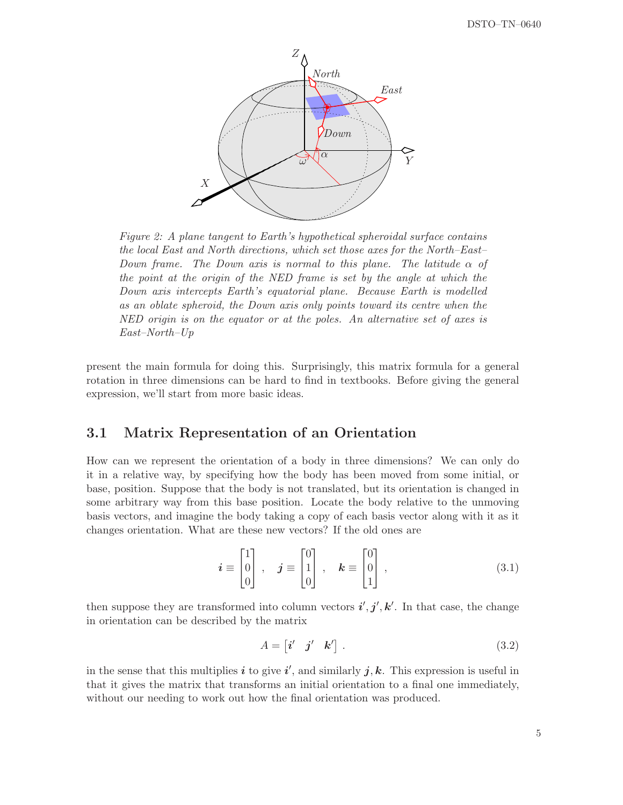

Figure 2: A plane tangent to Earth's hypothetical spheroidal surface contains the local East and North directions, which set those axes for the North–East– Down frame. The Down axis is normal to this plane. The latitude  $\alpha$  of the point at the origin of the NED frame is set by the angle at which the Down axis intercepts Earth's equatorial plane. Because Earth is modelled as an oblate spheroid, the Down axis only points toward its centre when the NED origin is on the equator or at the poles. An alternative set of axes is East–North–Up

present the main formula for doing this. Surprisingly, this matrix formula for a general rotation in three dimensions can be hard to find in textbooks. Before giving the general expression, we'll start from more basic ideas.

### 3.1 Matrix Representation of an Orientation

How can we represent the orientation of a body in three dimensions? We can only do it in a relative way, by specifying how the body has been moved from some initial, or base, position. Suppose that the body is not translated, but its orientation is changed in some arbitrary way from this base position. Locate the body relative to the unmoving basis vectors, and imagine the body taking a copy of each basis vector along with it as it changes orientation. What are these new vectors? If the old ones are

$$
\boldsymbol{i} \equiv \begin{bmatrix} 1 \\ 0 \\ 0 \end{bmatrix}, \quad \boldsymbol{j} \equiv \begin{bmatrix} 0 \\ 1 \\ 0 \end{bmatrix}, \quad \boldsymbol{k} \equiv \begin{bmatrix} 0 \\ 0 \\ 1 \end{bmatrix}, \tag{3.1}
$$

then suppose they are transformed into column vectors  $\vec{i}', \vec{j}', \vec{k}'$ . In that case, the change in orientation can be described by the matrix

$$
A = \begin{bmatrix} \mathbf{i}' & \mathbf{j}' & \mathbf{k}' \end{bmatrix} . \tag{3.2}
$$

in the sense that this multiplies  $i$  to give  $i'$ , and similarly  $j, k$ . This expression is useful in that it gives the matrix that transforms an initial orientation to a final one immediately, without our needing to work out how the final orientation was produced.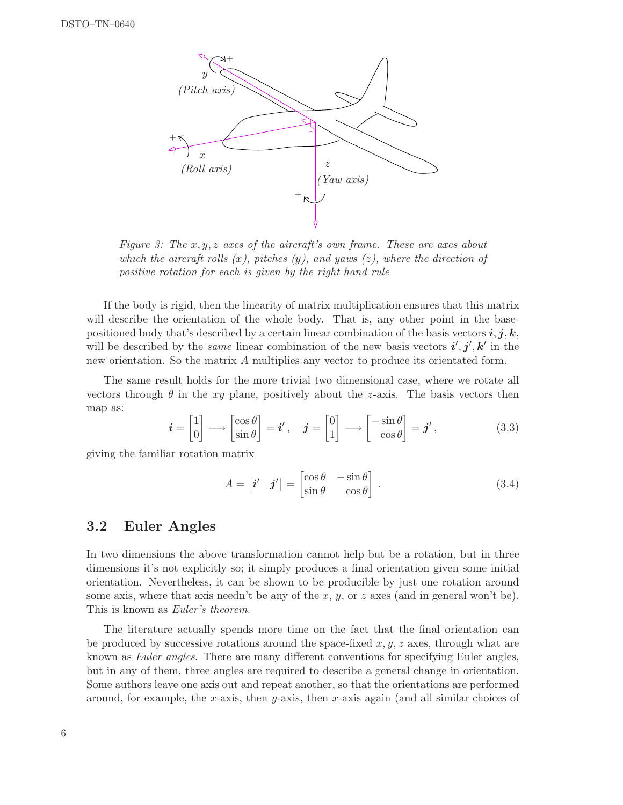

Figure 3: The  $x, y, z$  axes of the aircraft's own frame. These are axes about which the aircraft rolls  $(x)$ , pitches  $(y)$ , and yaws  $(z)$ , where the direction of positive rotation for each is given by the right hand rule

If the body is rigid, then the linearity of matrix multiplication ensures that this matrix will describe the orientation of the whole body. That is, any other point in the basepositioned body that's described by a certain linear combination of the basis vectors  $\bm{i}, \bm{j}, \bm{k},$ will be described by the *same* linear combination of the new basis vectors  $\mathbf{i}', \mathbf{j}', \mathbf{k}'$  in the new orientation. So the matrix A multiplies any vector to produce its orientated form.

The same result holds for the more trivial two dimensional case, where we rotate all vectors through  $\theta$  in the xy plane, positively about the z-axis. The basis vectors then map as:

$$
\mathbf{i} = \begin{bmatrix} 1 \\ 0 \end{bmatrix} \longrightarrow \begin{bmatrix} \cos \theta \\ \sin \theta \end{bmatrix} = \mathbf{i}', \quad \mathbf{j} = \begin{bmatrix} 0 \\ 1 \end{bmatrix} \longrightarrow \begin{bmatrix} -\sin \theta \\ \cos \theta \end{bmatrix} = \mathbf{j}', \tag{3.3}
$$

giving the familiar rotation matrix

$$
A = \begin{bmatrix} \mathbf{i}' & \mathbf{j}' \end{bmatrix} = \begin{bmatrix} \cos \theta & -\sin \theta \\ \sin \theta & \cos \theta \end{bmatrix} . \tag{3.4}
$$

#### 3.2 Euler Angles

In two dimensions the above transformation cannot help but be a rotation, but in three dimensions it's not explicitly so; it simply produces a final orientation given some initial orientation. Nevertheless, it can be shown to be producible by just one rotation around some axis, where that axis needn't be any of the x, y, or z axes (and in general won't be). This is known as Euler's theorem.

The literature actually spends more time on the fact that the final orientation can be produced by successive rotations around the space-fixed  $x, y, z$  axes, through what are known as Euler angles. There are many different conventions for specifying Euler angles, but in any of them, three angles are required to describe a general change in orientation. Some authors leave one axis out and repeat another, so that the orientations are performed around, for example, the x-axis, then y-axis, then x-axis again (and all similar choices of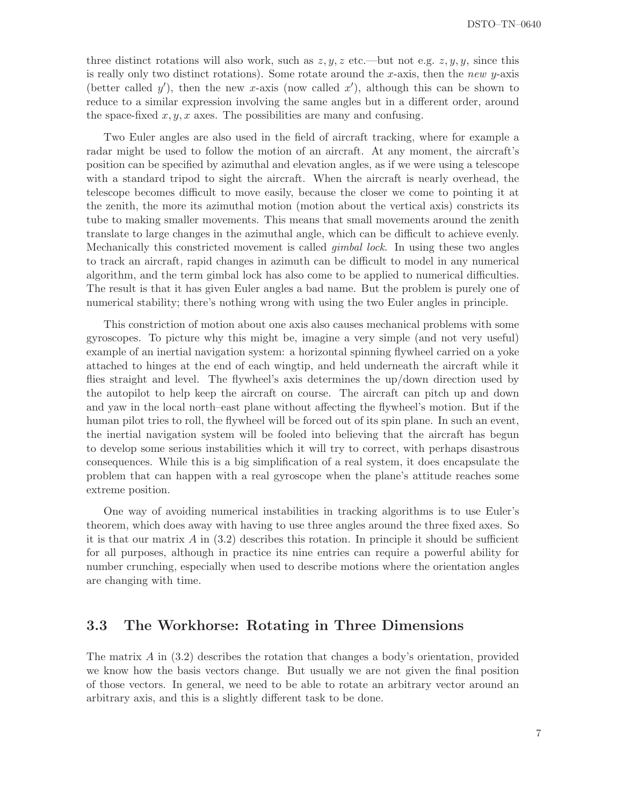three distinct rotations will also work, such as  $z, y, z$  etc.—but not e.g.  $z, y, y$ , since this is really only two distinct rotations). Some rotate around the x-axis, then the new y-axis (better called y'), then the new x-axis (now called  $x'$ ), although this can be shown to reduce to a similar expression involving the same angles but in a different order, around the space-fixed  $x, y, x$  axes. The possibilities are many and confusing.

Two Euler angles are also used in the field of aircraft tracking, where for example a radar might be used to follow the motion of an aircraft. At any moment, the aircraft's position can be specified by azimuthal and elevation angles, as if we were using a telescope with a standard tripod to sight the aircraft. When the aircraft is nearly overhead, the telescope becomes difficult to move easily, because the closer we come to pointing it at the zenith, the more its azimuthal motion (motion about the vertical axis) constricts its tube to making smaller movements. This means that small movements around the zenith translate to large changes in the azimuthal angle, which can be difficult to achieve evenly. Mechanically this constricted movement is called gimbal lock. In using these two angles to track an aircraft, rapid changes in azimuth can be difficult to model in any numerical algorithm, and the term gimbal lock has also come to be applied to numerical difficulties. The result is that it has given Euler angles a bad name. But the problem is purely one of numerical stability; there's nothing wrong with using the two Euler angles in principle.

This constriction of motion about one axis also causes mechanical problems with some gyroscopes. To picture why this might be, imagine a very simple (and not very useful) example of an inertial navigation system: a horizontal spinning flywheel carried on a yoke attached to hinges at the end of each wingtip, and held underneath the aircraft while it flies straight and level. The flywheel's axis determines the up/down direction used by the autopilot to help keep the aircraft on course. The aircraft can pitch up and down and yaw in the local north–east plane without affecting the flywheel's motion. But if the human pilot tries to roll, the flywheel will be forced out of its spin plane. In such an event, the inertial navigation system will be fooled into believing that the aircraft has begun to develop some serious instabilities which it will try to correct, with perhaps disastrous consequences. While this is a big simplification of a real system, it does encapsulate the problem that can happen with a real gyroscope when the plane's attitude reaches some extreme position.

One way of avoiding numerical instabilities in tracking algorithms is to use Euler's theorem, which does away with having to use three angles around the three fixed axes. So it is that our matrix  $\hat{A}$  in (3.2) describes this rotation. In principle it should be sufficient for all purposes, although in practice its nine entries can require a powerful ability for number crunching, especially when used to describe motions where the orientation angles are changing with time.

#### 3.3 The Workhorse: Rotating in Three Dimensions

The matrix  $A$  in (3.2) describes the rotation that changes a body's orientation, provided we know how the basis vectors change. But usually we are not given the final position of those vectors. In general, we need to be able to rotate an arbitrary vector around an arbitrary axis, and this is a slightly different task to be done.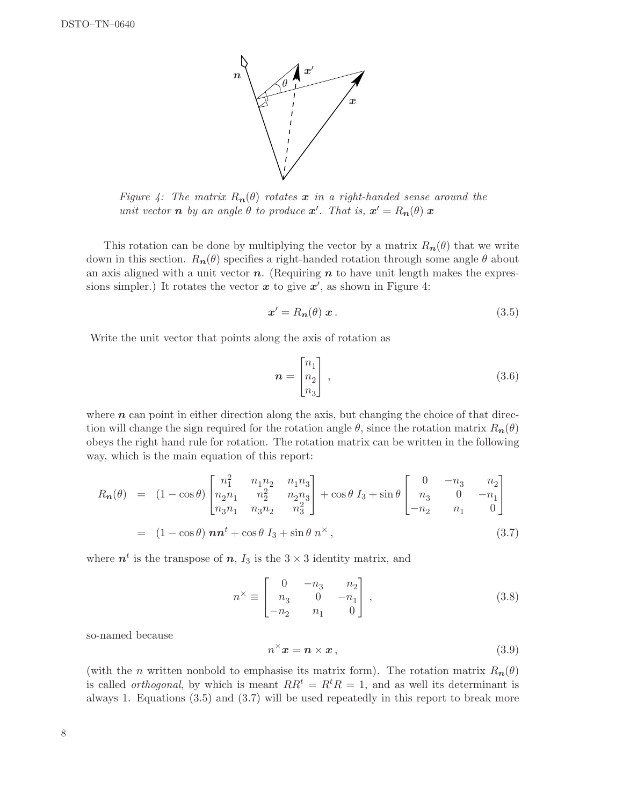

Figure 4: The matrix  $R_n(\theta)$  rotates x in a right-handed sense around the unit vector **n** by an angle  $\theta$  to produce  $x'$ . That is,  $x' = R_n(\theta) x$ 

This rotation can be done by multiplying the vector by a matrix  $R_n(\theta)$  that we write down in this section.  $R_n(\theta)$  specifies a right-handed rotation through some angle  $\theta$  about an axis aligned with a unit vector  $n$ . (Requiring  $n$  to have unit length makes the expressions simpler.) It rotates the vector  $x$  to give  $x'$ , as shown in Figure 4:

$$
\mathbf{x}' = R_{\mathbf{n}}(\theta) \mathbf{x} \,. \tag{3.5}
$$

Write the unit vector that points along the axis of rotation as

$$
\boldsymbol{n} = \begin{bmatrix} n_1 \\ n_2 \\ n_3 \end{bmatrix} , \tag{3.6}
$$

where  $n$  can point in either direction along the axis, but changing the choice of that direction will change the sign required for the rotation angle  $\theta$ , since the rotation matrix  $R_n(\theta)$ obeys the right hand rule for rotation. The rotation matrix can be written in the following way, which is the main equation of this report:

$$
R_{n}(\theta) = (1 - \cos \theta) \begin{bmatrix} n_{1}^{2} & n_{1}n_{2} & n_{1}n_{3} \\ n_{2}n_{1} & n_{2}^{2} & n_{2}n_{3} \\ n_{3}n_{1} & n_{3}n_{2} & n_{3}^{2} \end{bmatrix} + \cos \theta I_{3} + \sin \theta \begin{bmatrix} 0 & -n_{3} & n_{2} \\ n_{3} & 0 & -n_{1} \\ -n_{2} & n_{1} & 0 \end{bmatrix}
$$
  
=  $(1 - \cos \theta) \mathbf{n} \mathbf{n}^{t} + \cos \theta I_{3} + \sin \theta \mathbf{n}^{\times},$  (3.7)

where  $n^t$  is the transpose of  $n$ ,  $I_3$  is the  $3 \times 3$  identity matrix, and

$$
n^{\times} \equiv \begin{bmatrix} 0 & -n_3 & n_2 \\ n_3 & 0 & -n_1 \\ -n_2 & n_1 & 0 \end{bmatrix},
$$
 (3.8)

so-named because

$$
n^{\times} x = n \times x , \qquad (3.9)
$$

(with the *n* written nonbold to emphasise its matrix form). The rotation matrix  $R_n(\theta)$ is called *orthogonal*, by which is meant  $RR<sup>t</sup> = R<sup>t</sup>R = 1$ , and as well its determinant is always 1. Equations (3.5) and (3.7) will be used repeatedly in this report to break more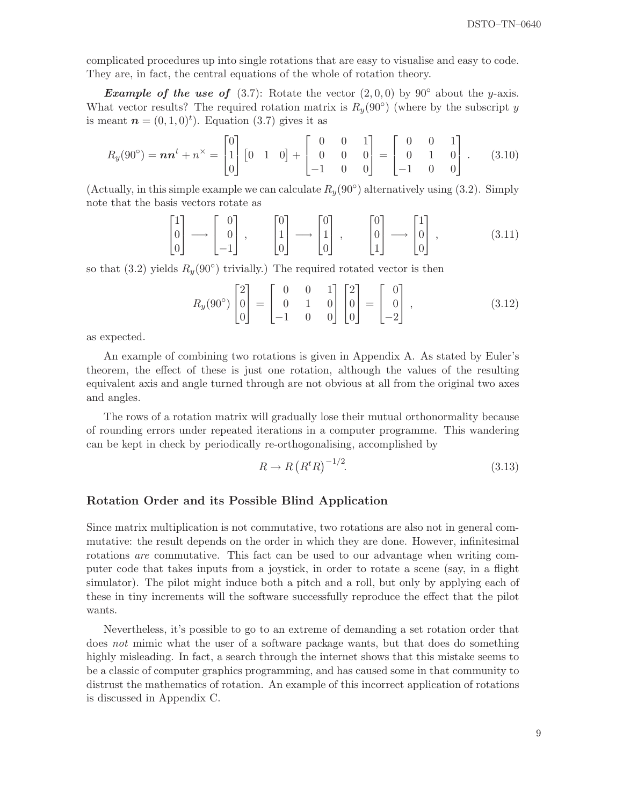complicated procedures up into single rotations that are easy to visualise and easy to code. They are, in fact, the central equations of the whole of rotation theory.

**Example of the use of** (3.7): Rotate the vector  $(2,0,0)$  by 90° about the y-axis. What vector results? The required rotation matrix is  $R_y(90°)$  (where by the subscript y is meant  $\mathbf{n} = (0, 1, 0)^t$ . Equation (3.7) gives it as

$$
R_y(90^\circ) = \boldsymbol{n} \boldsymbol{n}^t + \boldsymbol{n}^\times = \begin{bmatrix} 0 \\ 1 \\ 0 \end{bmatrix} \begin{bmatrix} 0 & 1 & 0 \end{bmatrix} + \begin{bmatrix} 0 & 0 & 1 \\ 0 & 0 & 0 \\ -1 & 0 & 0 \end{bmatrix} = \begin{bmatrix} 0 & 0 & 1 \\ 0 & 1 & 0 \\ -1 & 0 & 0 \end{bmatrix} . \tag{3.10}
$$

(Actually, in this simple example we can calculate  $R_y(90^\circ)$  alternatively using (3.2). Simply note that the basis vectors rotate as

$$
\begin{bmatrix} 1 \\ 0 \\ 0 \end{bmatrix} \longrightarrow \begin{bmatrix} 0 \\ 0 \\ -1 \end{bmatrix}, \qquad \begin{bmatrix} 0 \\ 1 \\ 0 \end{bmatrix} \longrightarrow \begin{bmatrix} 0 \\ 1 \\ 0 \end{bmatrix}, \qquad \begin{bmatrix} 0 \\ 0 \\ 1 \end{bmatrix} \longrightarrow \begin{bmatrix} 1 \\ 0 \\ 0 \end{bmatrix}, \tag{3.11}
$$

so that  $(3.2)$  yields  $R_y(90°)$  trivially.) The required rotated vector is then

$$
R_y(90^\circ) \begin{bmatrix} 2 \\ 0 \\ 0 \end{bmatrix} = \begin{bmatrix} 0 & 0 & 1 \\ 0 & 1 & 0 \\ -1 & 0 & 0 \end{bmatrix} \begin{bmatrix} 2 \\ 0 \\ 0 \end{bmatrix} = \begin{bmatrix} 0 \\ 0 \\ -2 \end{bmatrix}, \qquad (3.12)
$$

as expected.

An example of combining two rotations is given in Appendix A. As stated by Euler's theorem, the effect of these is just one rotation, although the values of the resulting equivalent axis and angle turned through are not obvious at all from the original two axes and angles.

The rows of a rotation matrix will gradually lose their mutual orthonormality because of rounding errors under repeated iterations in a computer programme. This wandering can be kept in check by periodically re-orthogonalising, accomplished by

$$
R \to R\left(R^t R\right)^{-1/2}.\tag{3.13}
$$

#### Rotation Order and its Possible Blind Application

Since matrix multiplication is not commutative, two rotations are also not in general commutative: the result depends on the order in which they are done. However, infinitesimal rotations are commutative. This fact can be used to our advantage when writing computer code that takes inputs from a joystick, in order to rotate a scene (say, in a flight simulator). The pilot might induce both a pitch and a roll, but only by applying each of these in tiny increments will the software successfully reproduce the effect that the pilot wants.

Nevertheless, it's possible to go to an extreme of demanding a set rotation order that does not mimic what the user of a software package wants, but that does do something highly misleading. In fact, a search through the internet shows that this mistake seems to be a classic of computer graphics programming, and has caused some in that community to distrust the mathematics of rotation. An example of this incorrect application of rotations is discussed in Appendix C.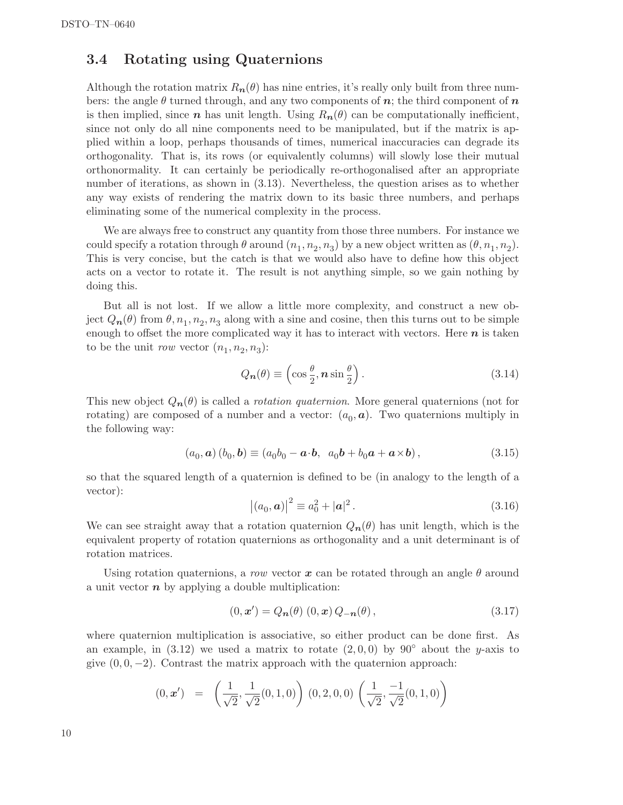#### 3.4 Rotating using Quaternions

Although the rotation matrix  $R_n(\theta)$  has nine entries, it's really only built from three numbers: the angle  $\theta$  turned through, and any two components of n; the third component of n is then implied, since n has unit length. Using  $R_n(\theta)$  can be computationally inefficient, since not only do all nine components need to be manipulated, but if the matrix is applied within a loop, perhaps thousands of times, numerical inaccuracies can degrade its orthogonality. That is, its rows (or equivalently columns) will slowly lose their mutual orthonormality. It can certainly be periodically re-orthogonalised after an appropriate number of iterations, as shown in (3.13). Nevertheless, the question arises as to whether any way exists of rendering the matrix down to its basic three numbers, and perhaps eliminating some of the numerical complexity in the process.

We are always free to construct any quantity from those three numbers. For instance we could specify a rotation through  $\theta$  around  $(n_1, n_2, n_3)$  by a new object written as  $(\theta, n_1, n_2)$ . This is very concise, but the catch is that we would also have to define how this object acts on a vector to rotate it. The result is not anything simple, so we gain nothing by doing this.

But all is not lost. If we allow a little more complexity, and construct a new object  $Q_{n}(\theta)$  from  $\theta, n_1, n_2, n_3$  along with a sine and cosine, then this turns out to be simple enough to offset the more complicated way it has to interact with vectors. Here  $n$  is taken to be the unit *row* vector  $(n_1, n_2, n_3)$ :

$$
Q_{\mathbf{n}}(\theta) \equiv \left(\cos\frac{\theta}{2}, \mathbf{n}\sin\frac{\theta}{2}\right). \tag{3.14}
$$

This new object  $Q_n(\theta)$  is called a *rotation quaternion*. More general quaternions (not for rotating) are composed of a number and a vector:  $(a_0, a)$ . Two quaternions multiply in the following way:

$$
(a_0, \mathbf{a}) (b_0, \mathbf{b}) \equiv (a_0 b_0 - \mathbf{a} \cdot \mathbf{b}, a_0 \mathbf{b} + b_0 \mathbf{a} + \mathbf{a} \times \mathbf{b}), \tag{3.15}
$$

so that the squared length of a quaternion is defined to be (in analogy to the length of a vector):

$$
|(a_0, a)|^2 \equiv a_0^2 + |a|^2. \tag{3.16}
$$

We can see straight away that a rotation quaternion  $Q_n(\theta)$  has unit length, which is the equivalent property of rotation quaternions as orthogonality and a unit determinant is of rotation matrices.

Using rotation quaternions, a row vector x can be rotated through an angle  $\theta$  around a unit vector  $n$  by applying a double multiplication:

$$
(0, x') = Q_{n}(\theta) (0, x) Q_{-n}(\theta), \qquad (3.17)
$$

where quaternion multiplication is associative, so either product can be done first. As an example, in  $(3.12)$  we used a matrix to rotate  $(2, 0, 0)$  by  $90°$  about the y-axis to give  $(0, 0, -2)$ . Contrast the matrix approach with the quaternion approach:

$$
(0, \mathbf{x}') = \left(\frac{1}{\sqrt{2}}, \frac{1}{\sqrt{2}}(0, 1, 0)\right) (0, 2, 0, 0) \left(\frac{1}{\sqrt{2}}, \frac{-1}{\sqrt{2}}(0, 1, 0)\right)
$$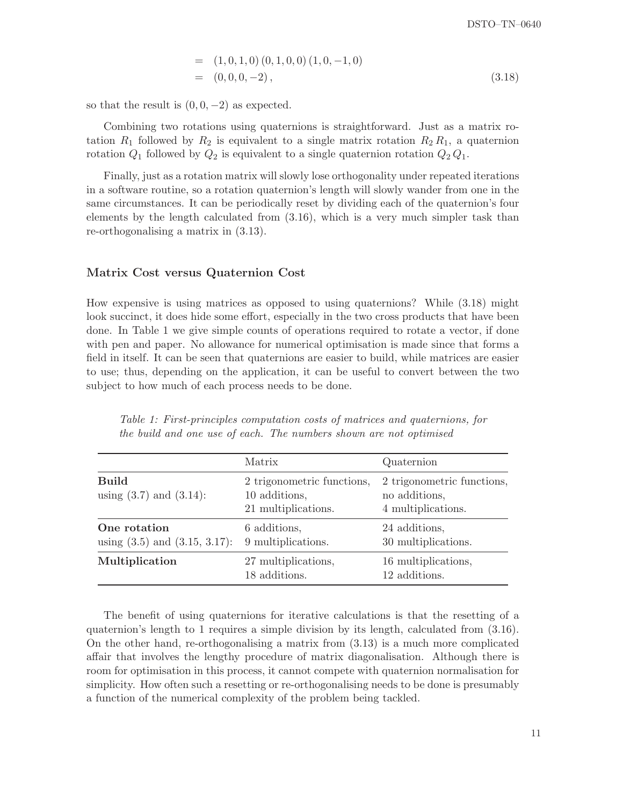$$
= (1,0,1,0) (0,1,0,0) (1,0,-1,0)
$$
  

$$
= (0,0,0,-2), \qquad (3.18)
$$

so that the result is  $(0, 0, -2)$  as expected.

Combining two rotations using quaternions is straightforward. Just as a matrix rotation  $R_1$  followed by  $R_2$  is equivalent to a single matrix rotation  $R_2 R_1$ , a quaternion rotation  $Q_1$  followed by  $Q_2$  is equivalent to a single quaternion rotation  $Q_2 Q_1$ .

Finally, just as a rotation matrix will slowly lose orthogonality under repeated iterations in a software routine, so a rotation quaternion's length will slowly wander from one in the same circumstances. It can be periodically reset by dividing each of the quaternion's four elements by the length calculated from (3.16), which is a very much simpler task than re-orthogonalising a matrix in (3.13).

#### Matrix Cost versus Quaternion Cost

How expensive is using matrices as opposed to using quaternions? While (3.18) might look succinct, it does hide some effort, especially in the two cross products that have been done. In Table 1 we give simple counts of operations required to rotate a vector, if done with pen and paper. No allowance for numerical optimisation is made since that forms a field in itself. It can be seen that quaternions are easier to build, while matrices are easier to use; thus, depending on the application, it can be useful to convert between the two subject to how much of each process needs to be done.

|                                                    | Matrix                                                             | Quaternion                                                        |
|----------------------------------------------------|--------------------------------------------------------------------|-------------------------------------------------------------------|
| <b>Build</b><br>using $(3.7)$ and $(3.14)$ :       | 2 trigonometric functions,<br>10 additions,<br>21 multiplications. | 2 trigonometric functions,<br>no additions,<br>4 multiplications. |
| One rotation<br>using $(3.5)$ and $(3.15, 3.17)$ : | 6 additions,<br>9 multiplications.                                 | 24 additions,<br>30 multiplications.                              |
| Multiplication                                     | 27 multiplications,<br>18 additions.                               | 16 multiplications,<br>12 additions.                              |

Table 1: First-principles computation costs of matrices and quaternions, for the build and one use of each. The numbers shown are not optimised

The benefit of using quaternions for iterative calculations is that the resetting of a quaternion's length to 1 requires a simple division by its length, calculated from (3.16). On the other hand, re-orthogonalising a matrix from (3.13) is a much more complicated affair that involves the lengthy procedure of matrix diagonalisation. Although there is room for optimisation in this process, it cannot compete with quaternion normalisation for simplicity. How often such a resetting or re-orthogonalising needs to be done is presumably a function of the numerical complexity of the problem being tackled.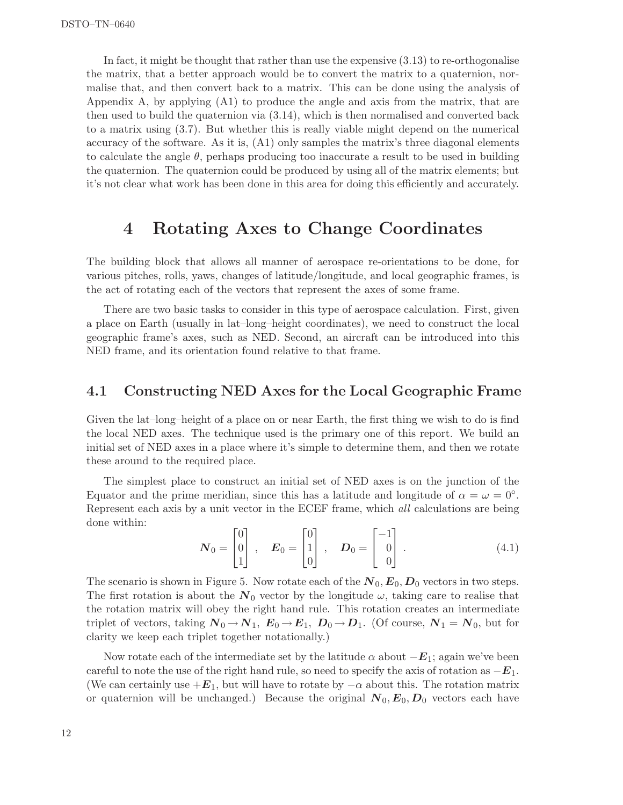In fact, it might be thought that rather than use the expensive (3.13) to re-orthogonalise the matrix, that a better approach would be to convert the matrix to a quaternion, normalise that, and then convert back to a matrix. This can be done using the analysis of Appendix A, by applying (A1) to produce the angle and axis from the matrix, that are then used to build the quaternion via (3.14), which is then normalised and converted back to a matrix using (3.7). But whether this is really viable might depend on the numerical accuracy of the software. As it is, (A1) only samples the matrix's three diagonal elements to calculate the angle  $\theta$ , perhaps producing too inaccurate a result to be used in building the quaternion. The quaternion could be produced by using all of the matrix elements; but it's not clear what work has been done in this area for doing this efficiently and accurately.

## 4 Rotating Axes to Change Coordinates

The building block that allows all manner of aerospace re-orientations to be done, for various pitches, rolls, yaws, changes of latitude/longitude, and local geographic frames, is the act of rotating each of the vectors that represent the axes of some frame.

There are two basic tasks to consider in this type of aerospace calculation. First, given a place on Earth (usually in lat–long–height coordinates), we need to construct the local geographic frame's axes, such as NED. Second, an aircraft can be introduced into this NED frame, and its orientation found relative to that frame.

#### 4.1 Constructing NED Axes for the Local Geographic Frame

Given the lat–long–height of a place on or near Earth, the first thing we wish to do is find the local NED axes. The technique used is the primary one of this report. We build an initial set of NED axes in a place where it's simple to determine them, and then we rotate these around to the required place.

The simplest place to construct an initial set of NED axes is on the junction of the Equator and the prime meridian, since this has a latitude and longitude of  $\alpha = \omega = 0^{\circ}$ . Represent each axis by a unit vector in the ECEF frame, which all calculations are being done within:

$$
\boldsymbol{N}_0 = \begin{bmatrix} 0 \\ 0 \\ 1 \end{bmatrix}, \quad \boldsymbol{E}_0 = \begin{bmatrix} 0 \\ 1 \\ 0 \end{bmatrix}, \quad \boldsymbol{D}_0 = \begin{bmatrix} -1 \\ 0 \\ 0 \end{bmatrix}. \tag{4.1}
$$

The scenario is shown in Figure 5. Now rotate each of the  $N_0, E_0, D_0$  vectors in two steps. The first rotation is about the  $N_0$  vector by the longitude  $\omega$ , taking care to realise that the rotation matrix will obey the right hand rule. This rotation creates an intermediate triplet of vectors, taking  $N_0 \to N_1$ ,  $E_0 \to E_1$ ,  $D_0 \to D_1$ . (Of course,  $N_1 = N_0$ , but for clarity we keep each triplet together notationally.)

Now rotate each of the intermediate set by the latitude  $\alpha$  about  $-E_1$ ; again we've been careful to note the use of the right hand rule, so need to specify the axis of rotation as  $-E_1$ . (We can certainly use  $+E_1$ , but will have to rotate by  $-\alpha$  about this. The rotation matrix or quaternion will be unchanged.) Because the original  $N_0, E_0, D_0$  vectors each have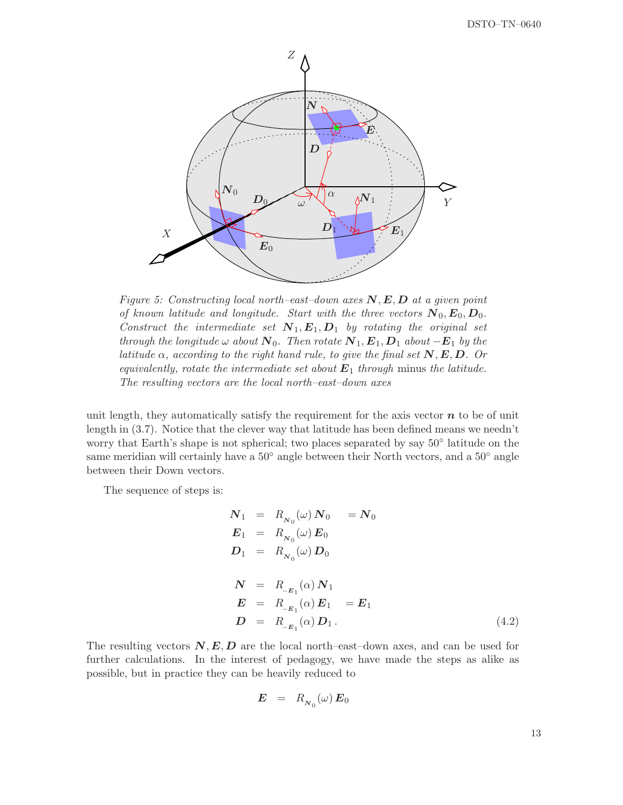

Figure 5: Constructing local north–east–down axes  $N, E, D$  at a given point of known latitude and longitude. Start with the three vectors  $N_0, E_0, D_0$ . Construct the intermediate set  $N_1, E_1, D_1$  by rotating the original set through the longitude  $\omega$  about  $N_0$ . Then rotate  $N_1, E_1, D_1$  about  $-E_1$  by the latitude  $\alpha$ , according to the right hand rule, to give the final set  $N, E, D$ . Or equivalently, rotate the intermediate set about  $E_1$  through minus the latitude. The resulting vectors are the local north–east–down axes

unit length, they automatically satisfy the requirement for the axis vector  $n$  to be of unit length in (3.7). Notice that the clever way that latitude has been defined means we needn't worry that Earth's shape is not spherical; two places separated by say 50◦ latitude on the same meridian will certainly have a  $50°$  angle between their North vectors, and a  $50°$  angle between their Down vectors.

The sequence of steps is:

$$
N_1 = R_{N_0}(\omega) N_0 = N_0
$$
  
\n
$$
E_1 = R_{N_0}(\omega) E_0
$$
  
\n
$$
D_1 = R_{N_0}(\omega) D_0
$$
  
\n
$$
N = R_{-E_1}(\alpha) N_1
$$
  
\n
$$
E = R_{-E_1}(\alpha) E_1 = E_1
$$
  
\n
$$
D = R_{-E_1}(\alpha) D_1.
$$
  
\n(4.2)

The resulting vectors  $N, E, D$  are the local north–east–down axes, and can be used for further calculations. In the interest of pedagogy, we have made the steps as alike as possible, but in practice they can be heavily reduced to

$$
E = R_{N_0}(\omega) E_0
$$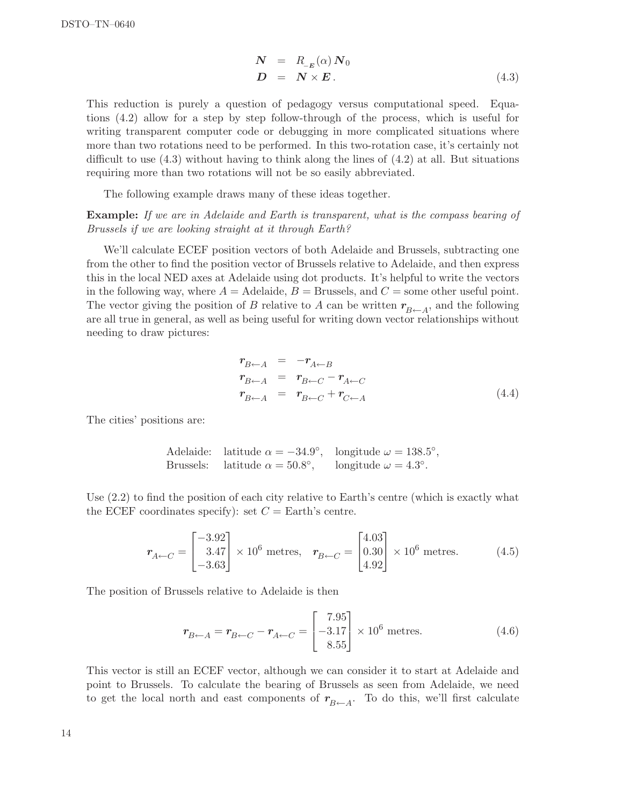$$
\begin{array}{rcl}\n\mathbf{N} & = & R_{-E}(\alpha) \, \mathbf{N}_0 \\
\mathbf{D} & = & \mathbf{N} \times \mathbf{E} \,.\n\end{array} \tag{4.3}
$$

This reduction is purely a question of pedagogy versus computational speed. Equations (4.2) allow for a step by step follow-through of the process, which is useful for writing transparent computer code or debugging in more complicated situations where more than two rotations need to be performed. In this two-rotation case, it's certainly not difficult to use (4.3) without having to think along the lines of (4.2) at all. But situations requiring more than two rotations will not be so easily abbreviated.

The following example draws many of these ideas together.

#### Example: If we are in Adelaide and Earth is transparent, what is the compass bearing of Brussels if we are looking straight at it through Earth?

We'll calculate ECEF position vectors of both Adelaide and Brussels, subtracting one from the other to find the position vector of Brussels relative to Adelaide, and then express this in the local NED axes at Adelaide using dot products. It's helpful to write the vectors in the following way, where  $A =$  Adelaide,  $B =$  Brussels, and  $C =$  some other useful point. The vector giving the position of B relative to A can be written  $r_{B\leftarrow A}$ , and the following are all true in general, as well as being useful for writing down vector relationships without needing to draw pictures:

$$
r_{B\leftarrow A} = -r_{A\leftarrow B}
$$
  
\n
$$
r_{B\leftarrow A} = r_{B\leftarrow C} - r_{A\leftarrow C}
$$
  
\n
$$
r_{B\leftarrow A} = r_{B\leftarrow C} + r_{C\leftarrow A}
$$
\n(4.4)

The cities' positions are:

Adelaide: latitude 
$$
\alpha = -34.9^{\circ}
$$
, longitude  $\omega = 138.5^{\circ}$ ,  
Brussels: latitude  $\alpha = 50.8^{\circ}$ , longitude  $\omega = 4.3^{\circ}$ .

Use (2.2) to find the position of each city relative to Earth's centre (which is exactly what the ECEF coordinates specify): set  $C =$  Earth's centre.

$$
\mathbf{r}_{A \leftarrow C} = \begin{bmatrix} -3.92 \\ 3.47 \\ -3.63 \end{bmatrix} \times 10^6 \text{ metres}, \quad \mathbf{r}_{B \leftarrow C} = \begin{bmatrix} 4.03 \\ 0.30 \\ 4.92 \end{bmatrix} \times 10^6 \text{ metres}. \tag{4.5}
$$

The position of Brussels relative to Adelaide is then

$$
\boldsymbol{r}_{B \leftarrow A} = \boldsymbol{r}_{B \leftarrow C} - \boldsymbol{r}_{A \leftarrow C} = \begin{bmatrix} 7.95 \\ -3.17 \\ 8.55 \end{bmatrix} \times 10^6 \text{ metres.} \tag{4.6}
$$

This vector is still an ECEF vector, although we can consider it to start at Adelaide and point to Brussels. To calculate the bearing of Brussels as seen from Adelaide, we need to get the local north and east components of  $r_{B\leftarrow A}$ . To do this, we'll first calculate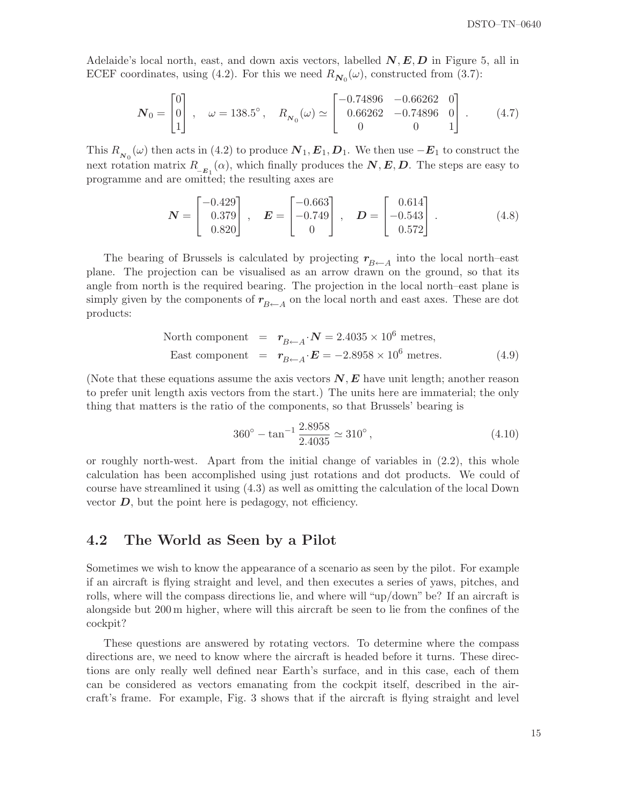Adelaide's local north, east, and down axis vectors, labelled  $N, E, D$  in Figure 5, all in ECEF coordinates, using (4.2). For this we need  $R_{N_0}(\omega)$ , constructed from (3.7):

$$
\boldsymbol{N}_0 = \begin{bmatrix} 0 \\ 0 \\ 1 \end{bmatrix}, \quad \omega = 138.5^\circ, \quad R_{N_0}(\omega) \simeq \begin{bmatrix} -0.74896 & -0.66262 & 0 \\ 0.66262 & -0.74896 & 0 \\ 0 & 0 & 1 \end{bmatrix}. \tag{4.7}
$$

This  $R_{N_0}(\omega)$  then acts in (4.2) to produce  $N_1, E_1, D_1$ . We then use  $-E_1$  to construct the next rotation matrix  $R_{E_1}(\alpha)$ , which finally produces the  $\mathbf{N}, \mathbf{E}, \mathbf{D}$ . The steps are easy to programme and are omitted; the resulting axes are

$$
\mathbf{N} = \begin{bmatrix} -0.429 \\ 0.379 \\ 0.820 \end{bmatrix}, \quad \mathbf{E} = \begin{bmatrix} -0.663 \\ -0.749 \\ 0 \end{bmatrix}, \quad \mathbf{D} = \begin{bmatrix} 0.614 \\ -0.543 \\ 0.572 \end{bmatrix}. \tag{4.8}
$$

The bearing of Brussels is calculated by projecting  $r_{B\leftarrow A}$  into the local north–east plane. The projection can be visualised as an arrow drawn on the ground, so that its angle from north is the required bearing. The projection in the local north–east plane is simply given by the components of  $r_{B\leftarrow A}$  on the local north and east axes. These are dot products:

North component = 
$$
\mathbf{r}_{B \leftarrow A} \cdot \mathbf{N} = 2.4035 \times 10^6
$$
 metres,  
East component =  $\mathbf{r}_{B \leftarrow A} \cdot \mathbf{E} = -2.8958 \times 10^6$  metres. (4.9)

(Note that these equations assume the axis vectors  $N, E$  have unit length; another reason to prefer unit length axis vectors from the start.) The units here are immaterial; the only thing that matters is the ratio of the components, so that Brussels' bearing is

$$
360^{\circ} - \tan^{-1} \frac{2.8958}{2.4035} \simeq 310^{\circ} , \qquad (4.10)
$$

or roughly north-west. Apart from the initial change of variables in (2.2), this whole calculation has been accomplished using just rotations and dot products. We could of course have streamlined it using (4.3) as well as omitting the calculation of the local Down vector  $D$ , but the point here is pedagogy, not efficiency.

#### 4.2 The World as Seen by a Pilot

Sometimes we wish to know the appearance of a scenario as seen by the pilot. For example if an aircraft is flying straight and level, and then executes a series of yaws, pitches, and rolls, where will the compass directions lie, and where will "up/down" be? If an aircraft is alongside but 200 m higher, where will this aircraft be seen to lie from the confines of the cockpit?

These questions are answered by rotating vectors. To determine where the compass directions are, we need to know where the aircraft is headed before it turns. These directions are only really well defined near Earth's surface, and in this case, each of them can be considered as vectors emanating from the cockpit itself, described in the aircraft's frame. For example, Fig. 3 shows that if the aircraft is flying straight and level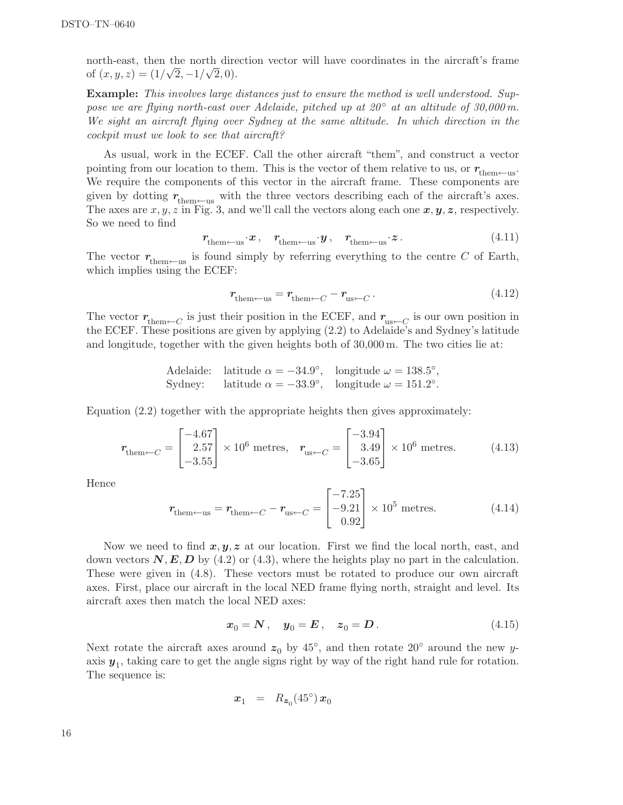north-east, then the north direction vector will have coordinates in the aircraft's frame of  $(x, y, z) = (1/\sqrt{2}, -1/\sqrt{2}, 0).$ 

Example: This involves large distances just to ensure the method is well understood. Suppose we are flying north-east over Adelaide, pitched up at  $20^{\circ}$  at an altitude of 30,000 m. We sight an aircraft flying over Sydney at the same altitude. In which direction in the cockpit must we look to see that aircraft?

As usual, work in the ECEF. Call the other aircraft "them", and construct a vector pointing from our location to them. This is the vector of them relative to us, or  $r_{\text{them}\leftarrow \text{us}}$ . We require the components of this vector in the aircraft frame. These components are given by dotting  $r_{\text{them}\leftarrow\text{us}}$  with the three vectors describing each of the aircraft's axes. The axes are  $x, y, z$  in Fig. 3, and we'll call the vectors along each one  $x, y, z$ , respectively. So we need to find

$$
r_{\text{them}\leftarrow \text{us}} \cdot x \,, \quad r_{\text{them}\leftarrow \text{us}} \cdot y \,, \quad r_{\text{them}\leftarrow \text{us}} \cdot z \,. \tag{4.11}
$$

The vector  $r_{\text{them--us}}$  is found simply by referring everything to the centre C of Earth, which implies using the ECEF:

$$
r_{\text{them}\leftarrow\text{us}} = r_{\text{them}\leftarrow C} - r_{\text{us}\leftarrow C} \,. \tag{4.12}
$$

The vector  $r_{\text{them}\leftarrow C}$  is just their position in the ECEF, and  $r_{\text{us}\leftarrow C}$  is our own position in the ECEF. These positions are given by applying (2.2) to Adelaide's and Sydney's latitude and longitude, together with the given heights both of 30,000 m. The two cities lie at:

Adelaide: latitude 
$$
\alpha = -34.9^{\circ}
$$
, longitude  $\omega = 138.5^{\circ}$ ,  
Sydney: latitude  $\alpha = -33.9^{\circ}$ , longitude  $\omega = 151.2^{\circ}$ .

Equation (2.2) together with the appropriate heights then gives approximately:

$$
r_{\text{them}\leftarrow C} = \begin{bmatrix} -4.67\\2.57\\-3.55 \end{bmatrix} \times 10^6 \text{ metres}, \quad r_{\text{us}\leftarrow C} = \begin{bmatrix} -3.94\\3.49\\-3.65 \end{bmatrix} \times 10^6 \text{ metres.} \tag{4.13}
$$

Hence

$$
r_{\text{them}\leftarrow\text{us}} = r_{\text{them}\leftarrow C} - r_{\text{us}\leftarrow C} = \begin{bmatrix} -7.25\\ -9.21\\ 0.92 \end{bmatrix} \times 10^5 \text{ metres.} \tag{4.14}
$$

Now we need to find  $x, y, z$  at our location. First we find the local north, east, and down vectors  $N, E, D$  by (4.2) or (4.3), where the heights play no part in the calculation. These were given in (4.8). These vectors must be rotated to produce our own aircraft axes. First, place our aircraft in the local NED frame flying north, straight and level. Its aircraft axes then match the local NED axes:

$$
x_0 = N \,, \quad y_0 = E \,, \quad z_0 = D \,. \tag{4.15}
$$

Next rotate the aircraft axes around  $z_0$  by 45<sup>°</sup>, and then rotate 20<sup>°</sup> around the new yaxis  $y_1$ , taking care to get the angle signs right by way of the right hand rule for rotation. The sequence is:

$$
x_1 = R_{z_0}(45^\circ) x_0
$$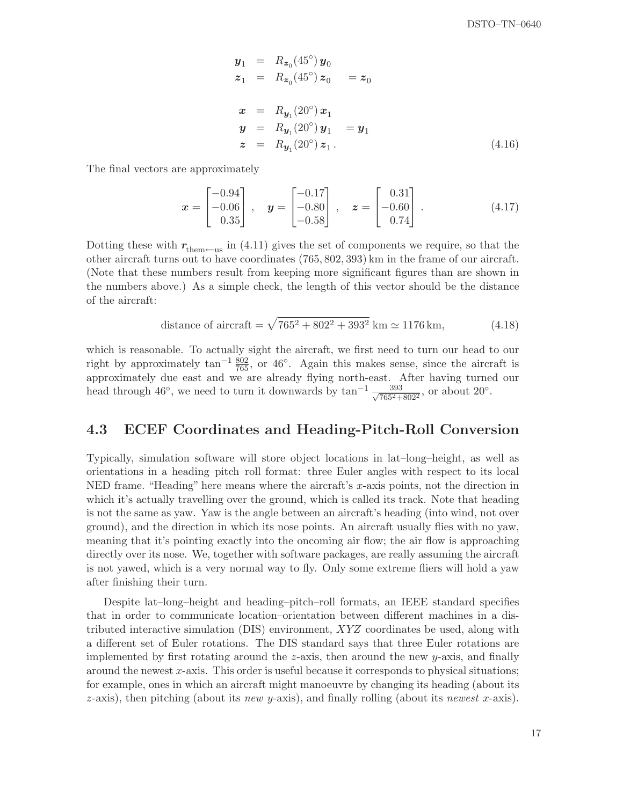$$
y_1 = R_{z_0}(45^\circ) y_0
$$
  
\n
$$
z_1 = R_{z_0}(45^\circ) z_0 = z_0
$$
  
\n
$$
x = R_{y_1}(20^\circ) x_1
$$
  
\n
$$
y = R_{y_1}(20^\circ) y_1 = y_1
$$
  
\n
$$
z = R_{y_1}(20^\circ) z_1.
$$
  
\n(4.16)

The final vectors are approximately

$$
\boldsymbol{x} = \begin{bmatrix} -0.94 \\ -0.06 \\ 0.35 \end{bmatrix}, \quad \boldsymbol{y} = \begin{bmatrix} -0.17 \\ -0.80 \\ -0.58 \end{bmatrix}, \quad \boldsymbol{z} = \begin{bmatrix} 0.31 \\ -0.60 \\ 0.74 \end{bmatrix}. \tag{4.17}
$$

Dotting these with  $r_{\text{them}\leftarrow\text{us}}$  in (4.11) gives the set of components we require, so that the other aircraft turns out to have coordinates (765, 802, 393) km in the frame of our aircraft. (Note that these numbers result from keeping more significant figures than are shown in the numbers above.) As a simple check, the length of this vector should be the distance of the aircraft:

distance of aircraft = 
$$
\sqrt{765^2 + 802^2 + 393^2}
$$
 km  $\simeq 1176$  km, (4.18)

which is reasonable. To actually sight the aircraft, we first need to turn our head to our right by approximately  $\tan^{-1} \frac{802}{765}$ , or 46°. Again this makes sense, since the aircraft is approximately due east and we are already flying north-east. After having turned our head through 46<sup>°</sup>, we need to turn it downwards by  $\tan^{-1} \frac{393}{\sqrt{7652}}$  $\frac{393}{765^2 + 802^2}$ , or about  $20^{\circ}$ .

#### 4.3 ECEF Coordinates and Heading-Pitch-Roll Conversion

Typically, simulation software will store object locations in lat–long–height, as well as orientations in a heading–pitch–roll format: three Euler angles with respect to its local NED frame. "Heading" here means where the aircraft's x-axis points, not the direction in which it's actually travelling over the ground, which is called its track. Note that heading is not the same as yaw. Yaw is the angle between an aircraft's heading (into wind, not over ground), and the direction in which its nose points. An aircraft usually flies with no yaw, meaning that it's pointing exactly into the oncoming air flow; the air flow is approaching directly over its nose. We, together with software packages, are really assuming the aircraft is not yawed, which is a very normal way to fly. Only some extreme fliers will hold a yaw after finishing their turn.

Despite lat–long–height and heading–pitch–roll formats, an IEEE standard specifies that in order to communicate location–orientation between different machines in a distributed interactive simulation (DIS) environment, XYZ coordinates be used, along with a different set of Euler rotations. The DIS standard says that three Euler rotations are implemented by first rotating around the z-axis, then around the new y-axis, and finally around the newest x-axis. This order is useful because it corresponds to physical situations; for example, ones in which an aircraft might manoeuvre by changing its heading (about its  $z$ -axis), then pitching (about its new y-axis), and finally rolling (about its newest x-axis).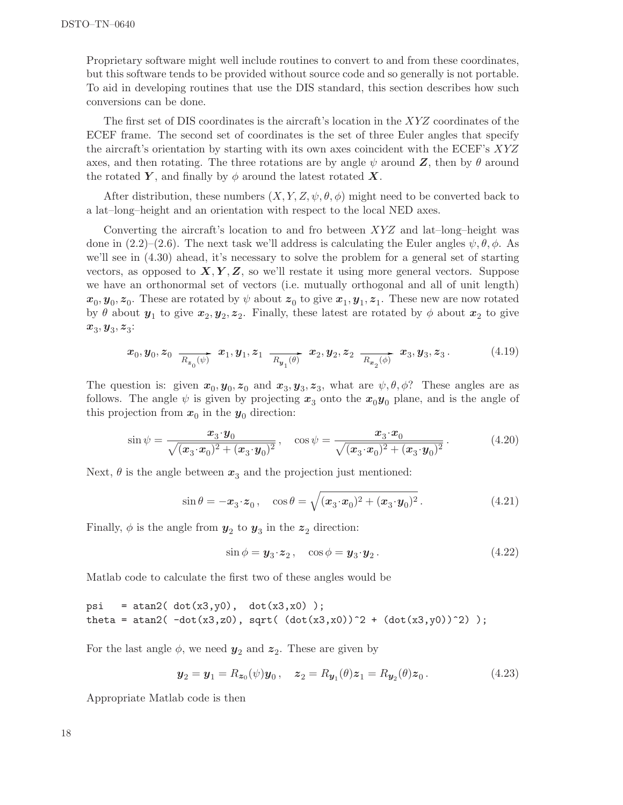Proprietary software might well include routines to convert to and from these coordinates, but this software tends to be provided without source code and so generally is not portable. To aid in developing routines that use the DIS standard, this section describes how such conversions can be done.

The first set of DIS coordinates is the aircraft's location in the XYZ coordinates of the ECEF frame. The second set of coordinates is the set of three Euler angles that specify the aircraft's orientation by starting with its own axes coincident with the ECEF's XYZ axes, and then rotating. The three rotations are by angle  $\psi$  around  $\mathbf{Z}$ , then by  $\theta$  around the rotated Y, and finally by  $\phi$  around the latest rotated X.

After distribution, these numbers  $(X, Y, Z, \psi, \theta, \phi)$  might need to be converted back to a lat–long–height and an orientation with respect to the local NED axes.

Converting the aircraft's location to and fro between  $XYZ$  and lat-long-height was done in  $(2.2)$ – $(2.6)$ . The next task we'll address is calculating the Euler angles  $\psi, \theta, \phi$ . As we'll see in  $(4.30)$  ahead, it's necessary to solve the problem for a general set of starting vectors, as opposed to  $X, Y, Z$ , so we'll restate it using more general vectors. Suppose we have an orthonormal set of vectors (i.e. mutually orthogonal and all of unit length)  $x_0, y_0, z_0$ . These are rotated by  $\psi$  about  $z_0$  to give  $x_1, y_1, z_1$ . These new are now rotated by  $\theta$  about  $y_1$  to give  $x_2, y_2, z_2$ . Finally, these latest are rotated by  $\phi$  about  $x_2$  to give  $x_3, y_3, z_3$ :

$$
\boldsymbol{x}_0, \boldsymbol{y}_0, \boldsymbol{z}_0 \xrightarrow[R_{\boldsymbol{z}_0}(\psi)]{} \boldsymbol{x}_1, \boldsymbol{y}_1, \boldsymbol{z}_1 \xrightarrow[R_{\boldsymbol{y}_1}(\theta)]{} \boldsymbol{x}_2, \boldsymbol{y}_2, \boldsymbol{z}_2 \xrightarrow[R_{\boldsymbol{x}_2}(\phi)]{} \boldsymbol{x}_3, \boldsymbol{y}_3, \boldsymbol{z}_3. \tag{4.19}
$$

The question is: given  $x_0, y_0, z_0$  and  $x_3, y_3, z_3$ , what are  $\psi, \theta, \phi$ ? These angles are as follows. The angle  $\psi$  is given by projecting  $x_3$  onto the  $x_0y_0$  plane, and is the angle of this projection from  $x_0$  in the  $y_0$  direction:

$$
\sin \psi = \frac{x_3 \cdot y_0}{\sqrt{(x_3 \cdot x_0)^2 + (x_3 \cdot y_0)^2}}, \quad \cos \psi = \frac{x_3 \cdot x_0}{\sqrt{(x_3 \cdot x_0)^2 + (x_3 \cdot y_0)^2}}.
$$
(4.20)

Next,  $\theta$  is the angle between  $x_3$  and the projection just mentioned:

$$
\sin \theta = -\boldsymbol{x}_3 \cdot \boldsymbol{z}_0, \quad \cos \theta = \sqrt{(\boldsymbol{x}_3 \cdot \boldsymbol{x}_0)^2 + (\boldsymbol{x}_3 \cdot \boldsymbol{y}_0)^2}.
$$
 (4.21)

Finally,  $\phi$  is the angle from  $y_2$  to  $y_3$  in the  $z_2$  direction:

$$
\sin \phi = \mathbf{y}_3 \cdot \mathbf{z}_2, \quad \cos \phi = \mathbf{y}_3 \cdot \mathbf{y}_2. \tag{4.22}
$$

Matlab code to calculate the first two of these angles would be

```
psi = atan2(dot(x3,y0), dot(x3,x0));
theta = atan2(-dot(x3,z0), sqrt((dot(x3,x0))^2 + (dot(x3,y0))^2);
```
For the last angle  $\phi$ , we need  $y_2$  and  $z_2$ . These are given by

$$
\mathbf{y}_2 = \mathbf{y}_1 = R_{\mathbf{z}_0}(\psi)\mathbf{y}_0, \quad \mathbf{z}_2 = R_{\mathbf{y}_1}(\theta)\mathbf{z}_1 = R_{\mathbf{y}_2}(\theta)\mathbf{z}_0. \tag{4.23}
$$

Appropriate Matlab code is then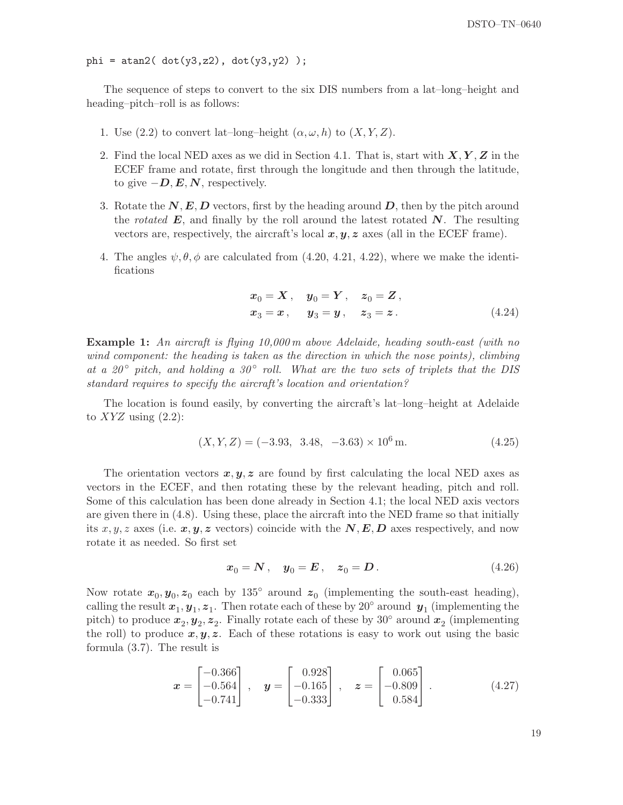phi = atan2( $dot(y3,z2)$ ,  $dot(y3,y2)$ );

The sequence of steps to convert to the six DIS numbers from a lat–long–height and heading–pitch–roll is as follows:

- 1. Use (2.2) to convert lat-long-height  $(\alpha, \omega, h)$  to  $(X, Y, Z)$ .
- 2. Find the local NED axes as we did in Section 4.1. That is, start with  $X, Y, Z$  in the ECEF frame and rotate, first through the longitude and then through the latitude, to give  $-\mathbf{D}, \mathbf{E}, \mathbf{N}$ , respectively.
- 3. Rotate the  $N, E, D$  vectors, first by the heading around  $D$ , then by the pitch around the rotated  $E$ , and finally by the roll around the latest rotated  $N$ . The resulting vectors are, respectively, the aircraft's local  $x, y, z$  axes (all in the ECEF frame).
- 4. The angles  $\psi, \theta, \phi$  are calculated from (4.20, 4.21, 4.22), where we make the identifications

$$
x_0 = X
$$
,  $y_0 = Y$ ,  $z_0 = Z$ ,  
\n $x_3 = x$ ,  $y_3 = y$ ,  $z_3 = z$ . (4.24)

Example 1: An aircraft is flying 10,000 m above Adelaide, heading south-east (with no wind component: the heading is taken as the direction in which the nose points), climbing at a 20 $\degree$  pitch, and holding a 30 $\degree$  roll. What are the two sets of triplets that the DIS standard requires to specify the aircraft's location and orientation?

The location is found easily, by converting the aircraft's lat–long–height at Adelaide to  $XYZ$  using  $(2.2)$ :

$$
(X, Y, Z) = (-3.93, 3.48, -3.63) \times 10^6 \,\mathrm{m}.\tag{4.25}
$$

The orientation vectors  $x, y, z$  are found by first calculating the local NED axes as vectors in the ECEF, and then rotating these by the relevant heading, pitch and roll. Some of this calculation has been done already in Section 4.1; the local NED axis vectors are given there in (4.8). Using these, place the aircraft into the NED frame so that initially its x, y, z axes (i.e. x, y, z vectors) coincide with the  $N, E, D$  axes respectively, and now rotate it as needed. So first set

$$
x_0 = N, \quad y_0 = E, \quad z_0 = D. \tag{4.26}
$$

Now rotate  $x_0, y_0, z_0$  each by 135<sup>°</sup> around  $z_0$  (implementing the south-east heading), calling the result  $x_1, y_1, z_1$ . Then rotate each of these by 20° around  $y_1$  (implementing the pitch) to produce  $x_2, y_2, z_2$ . Finally rotate each of these by 30° around  $x_2$  (implementing the roll) to produce  $x, y, z$ . Each of these rotations is easy to work out using the basic formula (3.7). The result is

$$
\boldsymbol{x} = \begin{bmatrix} -0.366 \\ -0.564 \\ -0.741 \end{bmatrix}, \quad \boldsymbol{y} = \begin{bmatrix} 0.928 \\ -0.165 \\ -0.333 \end{bmatrix}, \quad \boldsymbol{z} = \begin{bmatrix} 0.065 \\ -0.809 \\ 0.584 \end{bmatrix}. \tag{4.27}
$$

19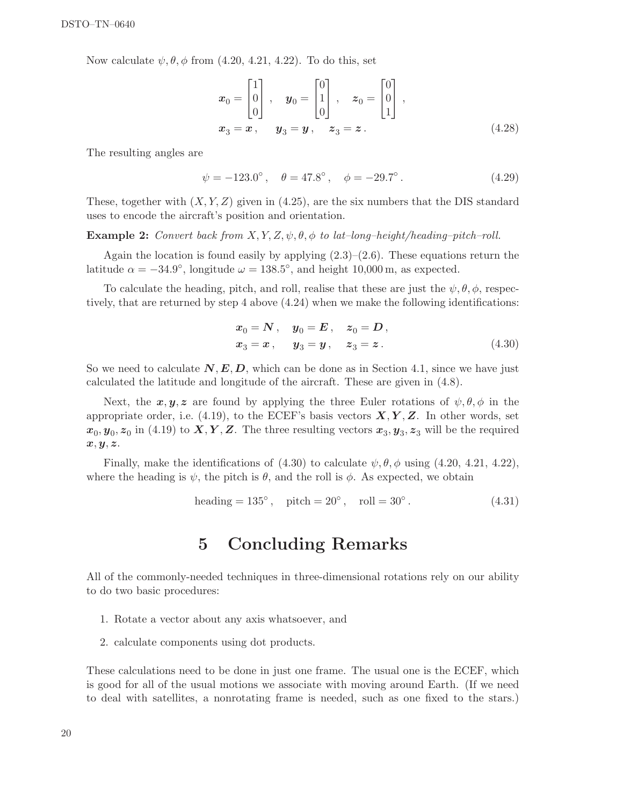Now calculate  $\psi, \theta, \phi$  from (4.20, 4.21, 4.22). To do this, set

$$
\mathbf{x}_0 = \begin{bmatrix} 1 \\ 0 \\ 0 \end{bmatrix}, \quad \mathbf{y}_0 = \begin{bmatrix} 0 \\ 1 \\ 0 \end{bmatrix}, \quad \mathbf{z}_0 = \begin{bmatrix} 0 \\ 0 \\ 1 \end{bmatrix},
$$

$$
\mathbf{x}_3 = \mathbf{x}, \quad \mathbf{y}_3 = \mathbf{y}, \quad \mathbf{z}_3 = \mathbf{z}.
$$
 (4.28)

The resulting angles are

$$
\psi = -123.0^{\circ}, \quad \theta = 47.8^{\circ}, \quad \phi = -29.7^{\circ}.
$$
\n(4.29)

These, together with  $(X, Y, Z)$  given in (4.25), are the six numbers that the DIS standard uses to encode the aircraft's position and orientation.

**Example 2:** Convert back from  $X, Y, Z, \psi, \theta, \phi$  to lat-long-height/heading-pitch-roll.

Again the location is found easily by applying  $(2.3)$ – $(2.6)$ . These equations return the latitude  $\alpha = -34.9^{\circ}$ , longitude  $\omega = 138.5^{\circ}$ , and height 10,000 m, as expected.

To calculate the heading, pitch, and roll, realise that these are just the  $\psi, \theta, \phi$ , respectively, that are returned by step 4 above (4.24) when we make the following identifications:

$$
x_0 = N
$$
,  $y_0 = E$ ,  $z_0 = D$ ,  
\n $x_3 = x$ ,  $y_3 = y$ ,  $z_3 = z$ . (4.30)

So we need to calculate  $N, E, D$ , which can be done as in Section 4.1, since we have just calculated the latitude and longitude of the aircraft. These are given in (4.8).

Next, the  $x, y, z$  are found by applying the three Euler rotations of  $\psi, \theta, \phi$  in the appropriate order, i.e.  $(4.19)$ , to the ECEF's basis vectors  $X, Y, Z$ . In other words, set  $x_0, y_0, z_0$  in (4.19) to  $X, Y, Z$ . The three resulting vectors  $x_3, y_3, z_3$  will be the required  $x, y, z.$ 

Finally, make the identifications of  $(4.30)$  to calculate  $\psi, \theta, \phi$  using  $(4.20, 4.21, 4.22)$ , where the heading is  $\psi$ , the pitch is  $\theta$ , and the roll is  $\phi$ . As expected, we obtain

$$
heading = 135^{\circ}, \quad pitch = 20^{\circ}, \quad roll = 30^{\circ}. \tag{4.31}
$$

## 5 Concluding Remarks

All of the commonly-needed techniques in three-dimensional rotations rely on our ability to do two basic procedures:

- 1. Rotate a vector about any axis whatsoever, and
- 2. calculate components using dot products.

These calculations need to be done in just one frame. The usual one is the ECEF, which is good for all of the usual motions we associate with moving around Earth. (If we need to deal with satellites, a nonrotating frame is needed, such as one fixed to the stars.)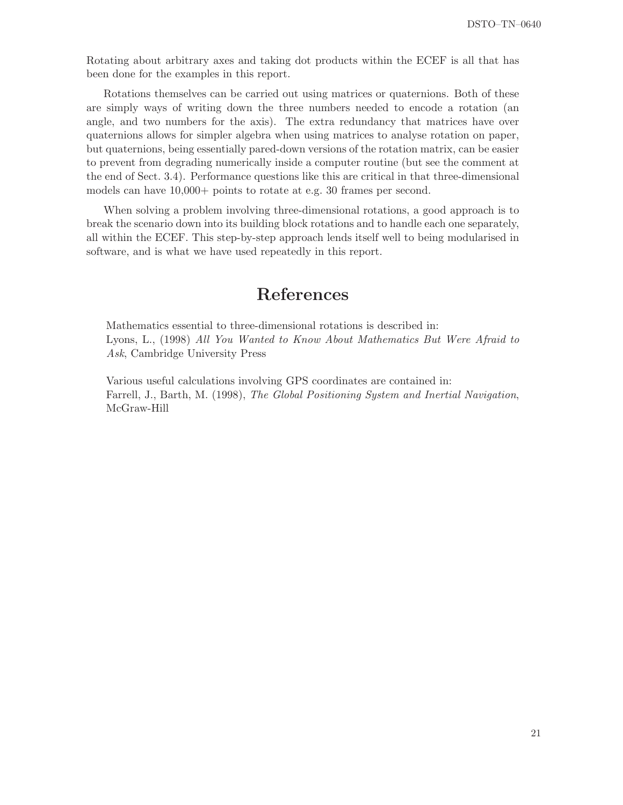Rotating about arbitrary axes and taking dot products within the ECEF is all that has been done for the examples in this report.

Rotations themselves can be carried out using matrices or quaternions. Both of these are simply ways of writing down the three numbers needed to encode a rotation (an angle, and two numbers for the axis). The extra redundancy that matrices have over quaternions allows for simpler algebra when using matrices to analyse rotation on paper, but quaternions, being essentially pared-down versions of the rotation matrix, can be easier to prevent from degrading numerically inside a computer routine (but see the comment at the end of Sect. 3.4). Performance questions like this are critical in that three-dimensional models can have 10,000+ points to rotate at e.g. 30 frames per second.

When solving a problem involving three-dimensional rotations, a good approach is to break the scenario down into its building block rotations and to handle each one separately, all within the ECEF. This step-by-step approach lends itself well to being modularised in software, and is what we have used repeatedly in this report.

## References

Mathematics essential to three-dimensional rotations is described in: Lyons, L., (1998) All You Wanted to Know About Mathematics But Were Afraid to Ask, Cambridge University Press

Various useful calculations involving GPS coordinates are contained in: Farrell, J., Barth, M. (1998), The Global Positioning System and Inertial Navigation, McGraw-Hill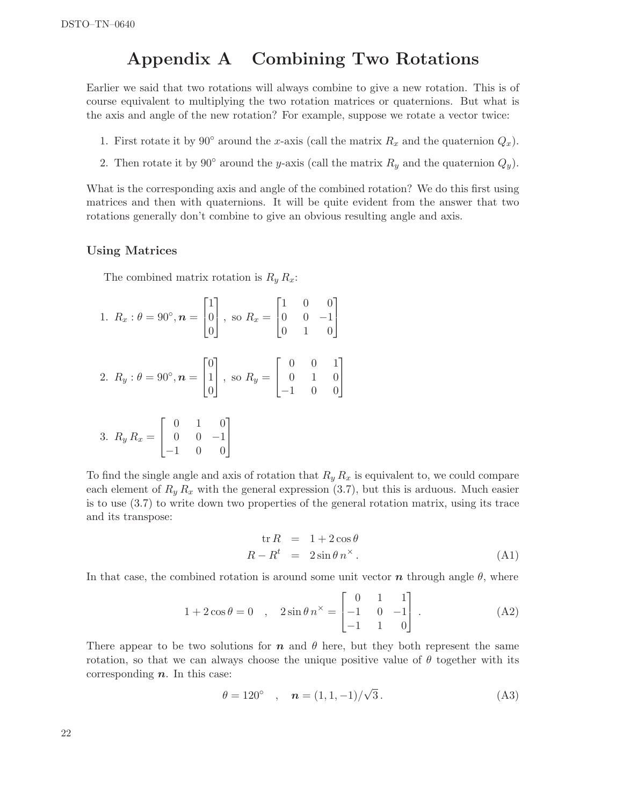## Appendix A Combining Two Rotations

Earlier we said that two rotations will always combine to give a new rotation. This is of course equivalent to multiplying the two rotation matrices or quaternions. But what is the axis and angle of the new rotation? For example, suppose we rotate a vector twice:

- 1. First rotate it by 90° around the x-axis (call the matrix  $R_x$  and the quaternion  $Q_x$ ).
- 2. Then rotate it by 90° around the y-axis (call the matrix  $R_y$  and the quaternion  $Q_y$ ).

What is the corresponding axis and angle of the combined rotation? We do this first using matrices and then with quaternions. It will be quite evident from the answer that two rotations generally don't combine to give an obvious resulting angle and axis.

#### Using Matrices

The combined matrix rotation is  $R_y R_x$ :

1. 
$$
R_x : \theta = 90^\circ, n = \begin{bmatrix} 1 \\ 0 \\ 0 \end{bmatrix}
$$
, so  $R_x = \begin{bmatrix} 1 & 0 & 0 \\ 0 & 0 & -1 \\ 0 & 1 & 0 \end{bmatrix}$   
\n2.  $R_y : \theta = 90^\circ, n = \begin{bmatrix} 0 \\ 1 \\ 0 \end{bmatrix}$ , so  $R_y = \begin{bmatrix} 0 & 0 & 1 \\ 0 & 1 & 0 \\ -1 & 0 & 0 \end{bmatrix}$   
\n3.  $R_y R_x = \begin{bmatrix} 0 & 1 & 0 \\ 0 & 0 & -1 \\ -1 & 0 & 0 \end{bmatrix}$ 

To find the single angle and axis of rotation that  $R_y R_x$  is equivalent to, we could compare each element of  $R_y R_x$  with the general expression (3.7), but this is arduous. Much easier is to use (3.7) to write down two properties of the general rotation matrix, using its trace and its transpose:

$$
\text{tr}\,R = 1 + 2\cos\theta
$$
\n
$$
R - R^t = 2\sin\theta\,n^\times\,. \tag{A1}
$$

In that case, the combined rotation is around some unit vector  $\boldsymbol{n}$  through angle  $\theta$ , where

$$
1 + 2\cos\theta = 0 \quad , \quad 2\sin\theta \, n^{\times} = \begin{bmatrix} 0 & 1 & 1 \\ -1 & 0 & -1 \\ -1 & 1 & 0 \end{bmatrix} . \tag{A2}
$$

There appear to be two solutions for  $n$  and  $\theta$  here, but they both represent the same rotation, so that we can always choose the unique positive value of  $\theta$  together with its corresponding  $n$ . In this case:

$$
\theta = 120^{\circ} \quad , \quad n = (1, 1, -1)/\sqrt{3} \,. \tag{A3}
$$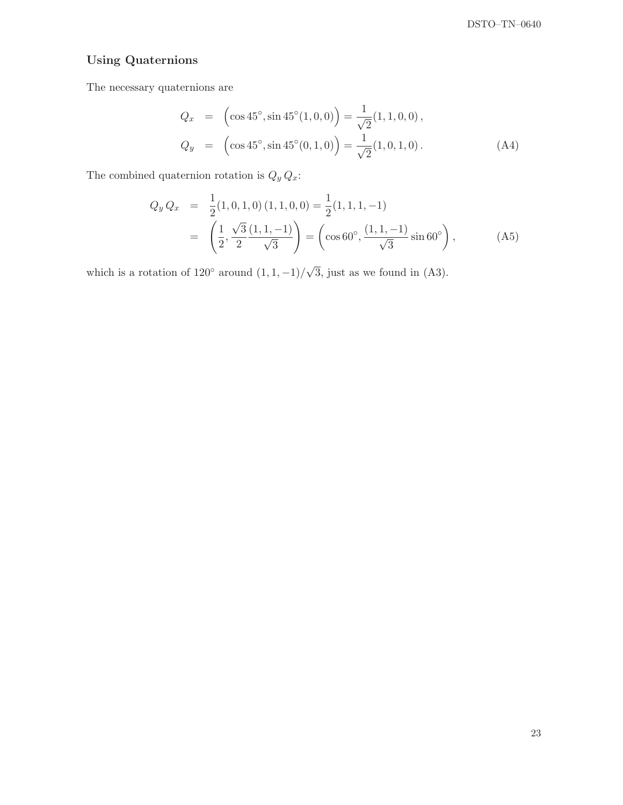### Using Quaternions

The necessary quaternions are

$$
Q_x = (\cos 45^\circ, \sin 45^\circ (1, 0, 0)) = \frac{1}{\sqrt{2}} (1, 1, 0, 0),
$$
  
\n
$$
Q_y = (\cos 45^\circ, \sin 45^\circ (0, 1, 0)) = \frac{1}{\sqrt{2}} (1, 0, 1, 0).
$$
 (A4)

The combined quaternion rotation is  $Q_y \, Q_x$  :

$$
Q_y Q_x = \frac{1}{2} (1, 0, 1, 0) (1, 1, 0, 0) = \frac{1}{2} (1, 1, 1, -1)
$$
  
=  $\left( \frac{1}{2}, \frac{\sqrt{3}}{2} \frac{(1, 1, -1)}{\sqrt{3}} \right) = \left( \cos 60^\circ, \frac{(1, 1, -1)}{\sqrt{3}} \sin 60^\circ \right),$  (A5)

which is a rotation of  $120^{\circ}$  around  $(1, 1, -1)/\sqrt{3}$ , just as we found in (A3).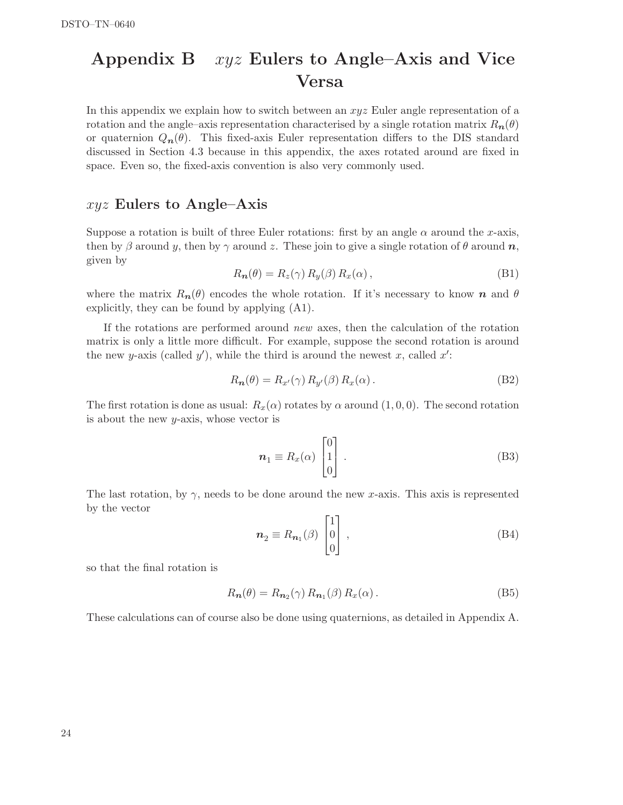# Appendix B xyz Eulers to Angle–Axis and Vice Versa

In this appendix we explain how to switch between an xyz Euler angle representation of a rotation and the angle–axis representation characterised by a single rotation matrix  $R_n(\theta)$ or quaternion  $Q_n(\theta)$ . This fixed-axis Euler representation differs to the DIS standard discussed in Section 4.3 because in this appendix, the axes rotated around are fixed in space. Even so, the fixed-axis convention is also very commonly used.

#### $xyz$  Eulers to Angle–Axis

Suppose a rotation is built of three Euler rotations: first by an angle  $\alpha$  around the x-axis, then by β around y, then by  $\gamma$  around z. These join to give a single rotation of θ around n, given by

$$
R_{n}(\theta) = R_{z}(\gamma) R_{y}(\beta) R_{x}(\alpha), \qquad (B1)
$$

where the matrix  $R_n(\theta)$  encodes the whole rotation. If it's necessary to know n and  $\theta$ explicitly, they can be found by applying (A1).

If the rotations are performed around new axes, then the calculation of the rotation matrix is only a little more difficult. For example, suppose the second rotation is around the new y-axis (called  $y'$ ), while the third is around the newest x, called  $x'$ :

$$
R_{n}(\theta) = R_{x'}(\gamma) R_{y'}(\beta) R_{x}(\alpha).
$$
 (B2)

The first rotation is done as usual:  $R_x(\alpha)$  rotates by  $\alpha$  around  $(1, 0, 0)$ . The second rotation is about the new y-axis, whose vector is

$$
n_1 \equiv R_x(\alpha) \begin{bmatrix} 0 \\ 1 \\ 0 \end{bmatrix} . \tag{B3}
$$

The last rotation, by  $\gamma$ , needs to be done around the new x-axis. This axis is represented by the vector

$$
\boldsymbol{n}_2 \equiv R_{\boldsymbol{n}_1}(\beta) \begin{bmatrix} 1 \\ 0 \\ 0 \end{bmatrix} , \qquad (B4)
$$

so that the final rotation is

$$
R_{n}(\theta) = R_{n_2}(\gamma) R_{n_1}(\beta) R_x(\alpha).
$$
 (B5)

These calculations can of course also be done using quaternions, as detailed in Appendix A.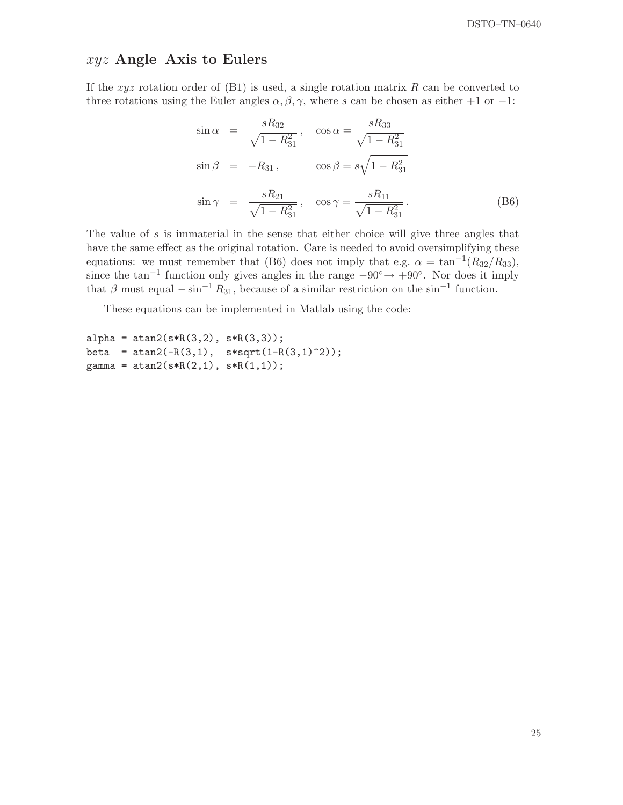### $xyz$  Angle–Axis to Eulers

If the xyz rotation order of  $(B1)$  is used, a single rotation matrix R can be converted to three rotations using the Euler angles  $\alpha, \beta, \gamma$ , where s can be chosen as either +1 or −1:

$$
\sin \alpha = \frac{sR_{32}}{\sqrt{1 - R_{31}^2}}, \quad \cos \alpha = \frac{sR_{33}}{\sqrt{1 - R_{31}^2}}
$$

$$
\sin \beta = -R_{31}, \qquad \cos \beta = s\sqrt{1 - R_{31}^2}
$$

$$
\sin \gamma = \frac{sR_{21}}{\sqrt{1 - R_{31}^2}}, \quad \cos \gamma = \frac{sR_{11}}{\sqrt{1 - R_{31}^2}}.
$$
(B6)

The value of s is immaterial in the sense that either choice will give three angles that have the same effect as the original rotation. Care is needed to avoid oversimplifying these equations: we must remember that (B6) does not imply that e.g.  $\alpha = \tan^{-1}(R_{32}/R_{33}),$ since the tan<sup>-1</sup> function only gives angles in the range  $-90° \rightarrow +90°$ . Nor does it imply that  $\beta$  must equal  $-\sin^{-1} R_{31}$ , because of a similar restriction on the sin<sup>-1</sup> function.

These equations can be implemented in Matlab using the code:

```
alpha = atan2(s * R(3,2), s * R(3,3));beta = atan2(-R(3,1), s*sqrt(1-R(3,1)^2));gamma = \tatan2(s * R(2,1), s * R(1,1));
```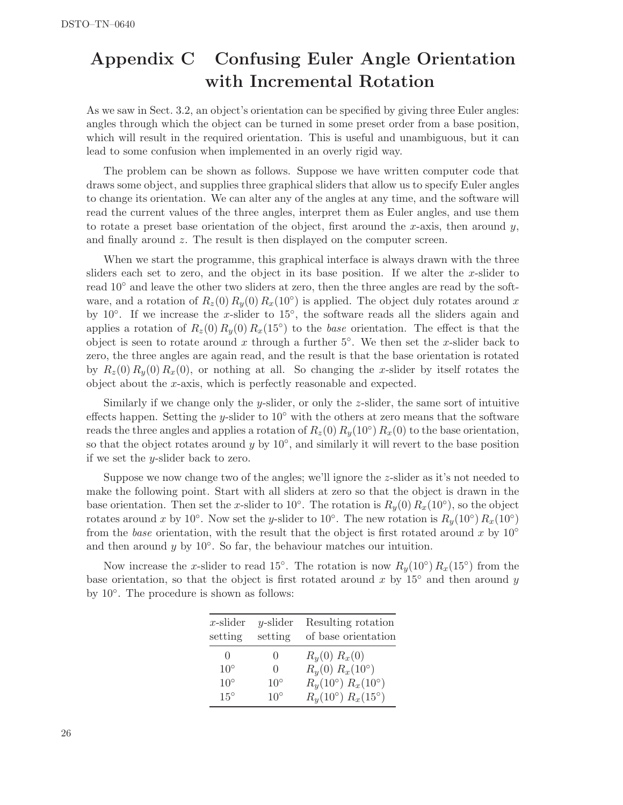# Appendix C Confusing Euler Angle Orientation with Incremental Rotation

As we saw in Sect. 3.2, an object's orientation can be specified by giving three Euler angles: angles through which the object can be turned in some preset order from a base position, which will result in the required orientation. This is useful and unambiguous, but it can lead to some confusion when implemented in an overly rigid way.

The problem can be shown as follows. Suppose we have written computer code that draws some object, and supplies three graphical sliders that allow us to specify Euler angles to change its orientation. We can alter any of the angles at any time, and the software will read the current values of the three angles, interpret them as Euler angles, and use them to rotate a preset base orientation of the object, first around the x-axis, then around  $y$ , and finally around z. The result is then displayed on the computer screen.

When we start the programme, this graphical interface is always drawn with the three sliders each set to zero, and the object in its base position. If we alter the x-slider to read 10◦ and leave the other two sliders at zero, then the three angles are read by the software, and a rotation of  $R_z(0) R_y(0) R_x(10°)$  is applied. The object duly rotates around x by 10<sup>°</sup>. If we increase the x-slider to  $15^\circ$ , the software reads all the sliders again and applies a rotation of  $R_z(0) R_y(0) R_x(15°)$  to the *base* orientation. The effect is that the object is seen to rotate around x through a further  $5°$ . We then set the x-slider back to zero, the three angles are again read, and the result is that the base orientation is rotated by  $R_z(0) R_y(0) R_x(0)$ , or nothing at all. So changing the x-slider by itself rotates the object about the x-axis, which is perfectly reasonable and expected.

Similarly if we change only the y-slider, or only the z-slider, the same sort of intuitive effects happen. Setting the y-slider to  $10°$  with the others at zero means that the software reads the three angles and applies a rotation of  $R_z(0) R_y(10°) R_x(0)$  to the base orientation, so that the object rotates around  $y$  by  $10°$ , and similarly it will revert to the base position if we set the y-slider back to zero.

Suppose we now change two of the angles; we'll ignore the z-slider as it's not needed to make the following point. Start with all sliders at zero so that the object is drawn in the base orientation. Then set the x-slider to 10<sup>°</sup>. The rotation is  $R_y(0) R_x(10°)$ , so the object rotates around x by 10<sup>°</sup>. Now set the y-slider to 10<sup>°</sup>. The new rotation is  $R_y(10°) R_x(10°)$ from the base orientation, with the result that the object is first rotated around x by  $10^{\circ}$ and then around  $y$  by  $10°$ . So far, the behaviour matches our intuition.

Now increase the x-slider to read 15°. The rotation is now  $R_y(10°) R_x(15°)$  from the base orientation, so that the object is first rotated around x by  $15°$  and then around y by 10<sup>°</sup>. The procedure is shown as follows:

| $x$ -slider<br>setting | $y$ -slider<br>setting | Resulting rotation<br>of base orientation |
|------------------------|------------------------|-------------------------------------------|
| $\left( \right)$       | $\left( \right)$       | $R_y(0) R_x(0)$                           |
| $10^{\circ}$           | $\Omega$               | $R_{y}(0) R_{x}(10^{\circ})$              |
| $10^{\circ}$           | $10^{\circ}$           | $R_y(10^{\circ}) R_x(10^{\circ})$         |
| $15^{\circ}$           | $10^{\circ}$           | $R_{\nu}(10^{\circ}) R_{x}(15^{\circ})$   |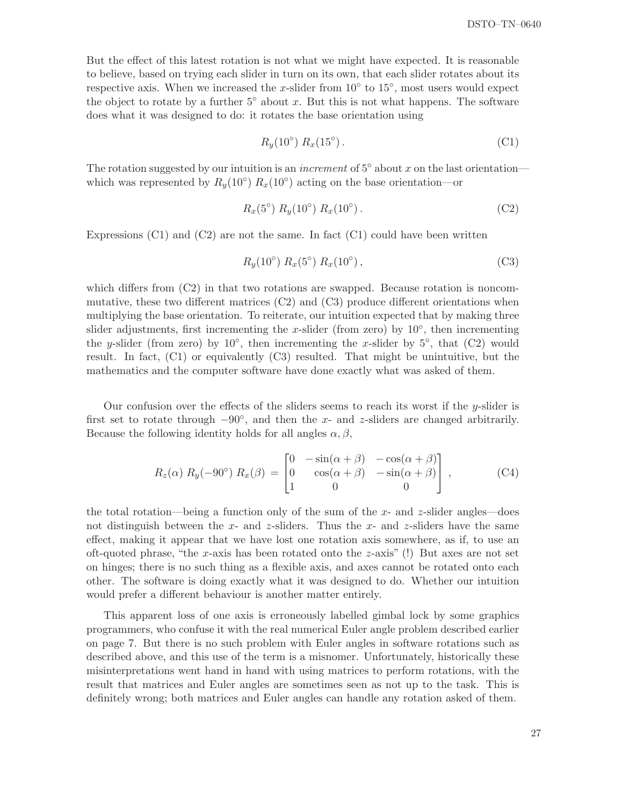But the effect of this latest rotation is not what we might have expected. It is reasonable to believe, based on trying each slider in turn on its own, that each slider rotates about its respective axis. When we increased the x-slider from  $10^{\circ}$  to  $15^{\circ}$ , most users would expect the object to rotate by a further  $5°$  about x. But this is not what happens. The software does what it was designed to do: it rotates the base orientation using

$$
R_y(10^{\circ}) R_x(15^{\circ}). \tag{C1}
$$

The rotation suggested by our intuition is an *increment* of  $5°$  about x on the last orientation which was represented by  $R_y(10°) R_x(10°)$  acting on the base orientation—or

$$
R_x(5^{\circ}) R_y(10^{\circ}) R_x(10^{\circ}). \tag{C2}
$$

Expressions  $(C1)$  and  $(C2)$  are not the same. In fact  $(C1)$  could have been written

$$
R_y(10^{\circ}) R_x(5^{\circ}) R_x(10^{\circ}), \tag{C3}
$$

which differs from  $(C2)$  in that two rotations are swapped. Because rotation is noncommutative, these two different matrices  $(C2)$  and  $(C3)$  produce different orientations when multiplying the base orientation. To reiterate, our intuition expected that by making three slider adjustments, first incrementing the x-slider (from zero) by  $10^{\circ}$ , then incrementing the y-slider (from zero) by  $10^{\circ}$ , then incrementing the x-slider by  $5^{\circ}$ , that (C2) would result. In fact, (C1) or equivalently (C3) resulted. That might be unintuitive, but the mathematics and the computer software have done exactly what was asked of them.

Our confusion over the effects of the sliders seems to reach its worst if the y-slider is first set to rotate through  $-90°$ , and then the x- and z-sliders are changed arbitrarily. Because the following identity holds for all angles  $\alpha, \beta$ ,

$$
R_z(\alpha) R_y(-90^\circ) R_x(\beta) = \begin{bmatrix} 0 & -\sin(\alpha + \beta) & -\cos(\alpha + \beta) \\ 0 & \cos(\alpha + \beta) & -\sin(\alpha + \beta) \\ 1 & 0 & 0 \end{bmatrix},
$$
 (C4)

the total rotation—being a function only of the sum of the x- and z-slider angles—does not distinguish between the x- and z-sliders. Thus the x- and z-sliders have the same effect, making it appear that we have lost one rotation axis somewhere, as if, to use an oft-quoted phrase, "the x-axis has been rotated onto the z-axis" (!) But axes are not set on hinges; there is no such thing as a flexible axis, and axes cannot be rotated onto each other. The software is doing exactly what it was designed to do. Whether our intuition would prefer a different behaviour is another matter entirely.

This apparent loss of one axis is erroneously labelled gimbal lock by some graphics programmers, who confuse it with the real numerical Euler angle problem described earlier on page 7. But there is no such problem with Euler angles in software rotations such as described above, and this use of the term is a misnomer. Unfortunately, historically these misinterpretations went hand in hand with using matrices to perform rotations, with the result that matrices and Euler angles are sometimes seen as not up to the task. This is definitely wrong; both matrices and Euler angles can handle any rotation asked of them.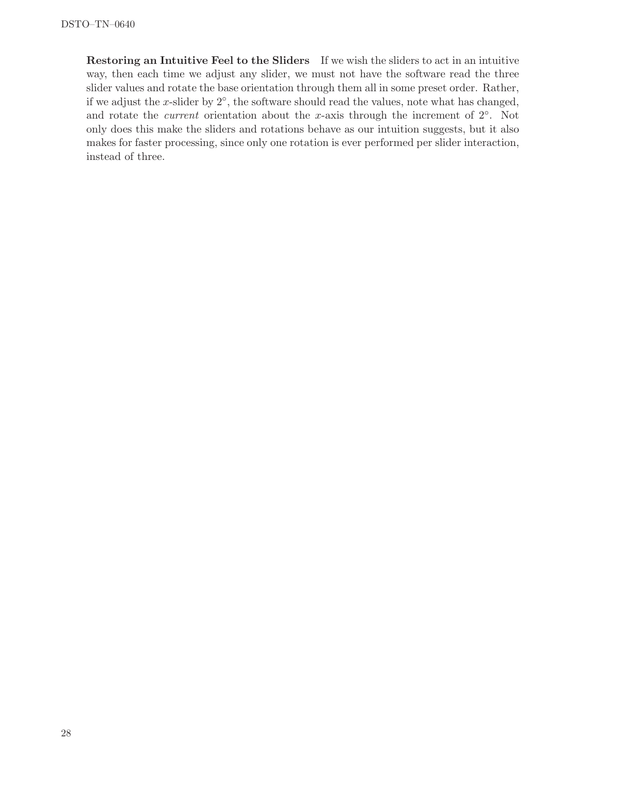Restoring an Intuitive Feel to the Sliders If we wish the sliders to act in an intuitive way, then each time we adjust any slider, we must not have the software read the three slider values and rotate the base orientation through them all in some preset order. Rather, if we adjust the x-slider by  $2^{\circ}$ , the software should read the values, note what has changed, and rotate the *current* orientation about the x-axis through the increment of  $2°$ . Not only does this make the sliders and rotations behave as our intuition suggests, but it also makes for faster processing, since only one rotation is ever performed per slider interaction, instead of three.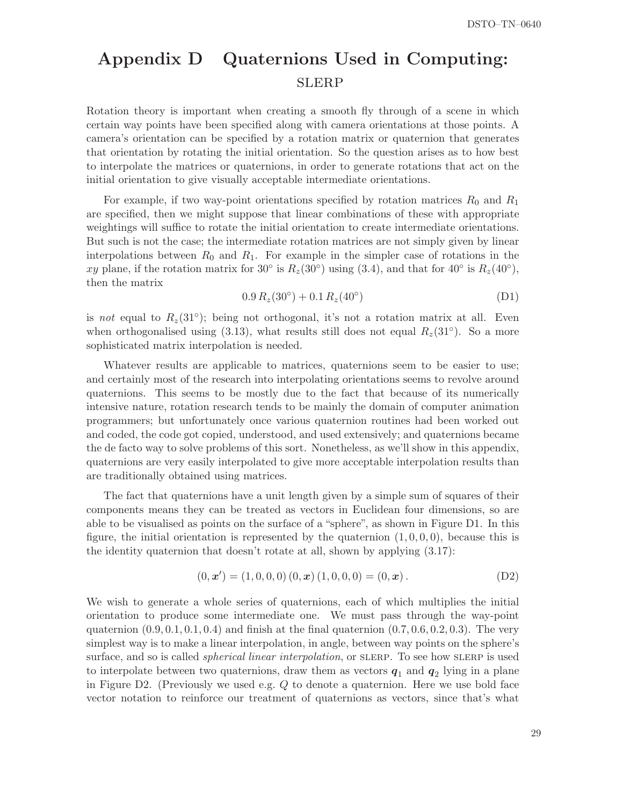# Appendix D Quaternions Used in Computing: **SLERP**

Rotation theory is important when creating a smooth fly through of a scene in which certain way points have been specified along with camera orientations at those points. A camera's orientation can be specified by a rotation matrix or quaternion that generates that orientation by rotating the initial orientation. So the question arises as to how best to interpolate the matrices or quaternions, in order to generate rotations that act on the initial orientation to give visually acceptable intermediate orientations.

For example, if two way-point orientations specified by rotation matrices  $R_0$  and  $R_1$ are specified, then we might suppose that linear combinations of these with appropriate weightings will suffice to rotate the initial orientation to create intermediate orientations. But such is not the case; the intermediate rotation matrices are not simply given by linear interpolations between  $R_0$  and  $R_1$ . For example in the simpler case of rotations in the xy plane, if the rotation matrix for 30<sup>°</sup> is  $R_z(30°)$  using (3.4), and that for 40<sup>°</sup> is  $R_z(40°)$ , then the matrix

$$
0.9 R_z(30^\circ) + 0.1 R_z(40^\circ) \tag{D1}
$$

is not equal to  $R_z(31°)$ ; being not orthogonal, it's not a rotation matrix at all. Even when orthogonalised using  $(3.13)$ , what results still does not equal  $R_z(31°)$ . So a more sophisticated matrix interpolation is needed.

Whatever results are applicable to matrices, quaternions seem to be easier to use; and certainly most of the research into interpolating orientations seems to revolve around quaternions. This seems to be mostly due to the fact that because of its numerically intensive nature, rotation research tends to be mainly the domain of computer animation programmers; but unfortunately once various quaternion routines had been worked out and coded, the code got copied, understood, and used extensively; and quaternions became the de facto way to solve problems of this sort. Nonetheless, as we'll show in this appendix, quaternions are very easily interpolated to give more acceptable interpolation results than are traditionally obtained using matrices.

The fact that quaternions have a unit length given by a simple sum of squares of their components means they can be treated as vectors in Euclidean four dimensions, so are able to be visualised as points on the surface of a "sphere", as shown in Figure D1. In this figure, the initial orientation is represented by the quaternion  $(1, 0, 0, 0)$ , because this is the identity quaternion that doesn't rotate at all, shown by applying (3.17):

$$
(0, x') = (1, 0, 0, 0) (0, x) (1, 0, 0, 0) = (0, x).
$$
 (D2)

We wish to generate a whole series of quaternions, each of which multiplies the initial orientation to produce some intermediate one. We must pass through the way-point quaternion  $(0.9, 0.1, 0.1, 0.4)$  and finish at the final quaternion  $(0.7, 0.6, 0.2, 0.3)$ . The very simplest way is to make a linear interpolation, in angle, between way points on the sphere's surface, and so is called *spherical linear interpolation*, or SLERP. To see how SLERP is used to interpolate between two quaternions, draw them as vectors  $q_1$  and  $q_2$  lying in a plane in Figure D2. (Previously we used e.g. Q to denote a quaternion. Here we use bold face vector notation to reinforce our treatment of quaternions as vectors, since that's what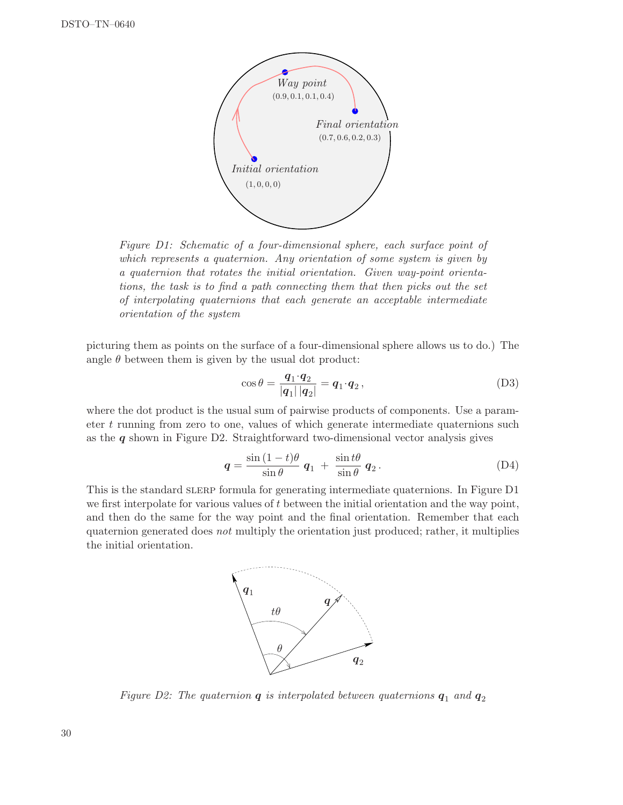

Figure D1: Schematic of a four-dimensional sphere, each surface point of which represents a quaternion. Any orientation of some system is given by a quaternion that rotates the initial orientation. Given way-point orientations, the task is to find a path connecting them that then picks out the set of interpolating quaternions that each generate an acceptable intermediate orientation of the system

picturing them as points on the surface of a four-dimensional sphere allows us to do.) The angle  $\theta$  between them is given by the usual dot product:

$$
\cos \theta = \frac{\boldsymbol{q}_1 \cdot \boldsymbol{q}_2}{|\boldsymbol{q}_1||\boldsymbol{q}_2|} = \boldsymbol{q}_1 \cdot \boldsymbol{q}_2, \qquad (D3)
$$

where the dot product is the usual sum of pairwise products of components. Use a parameter t running from zero to one, values of which generate intermediate quaternions such as the  $q$  shown in Figure D2. Straightforward two-dimensional vector analysis gives

$$
\mathbf{q} = \frac{\sin{(1-t)\theta}}{\sin{\theta}} \mathbf{q}_1 + \frac{\sin{t\theta}}{\sin{\theta}} \mathbf{q}_2.
$$
 (D4)

This is the standard slerp formula for generating intermediate quaternions. In Figure D1 we first interpolate for various values of  $t$  between the initial orientation and the way point, and then do the same for the way point and the final orientation. Remember that each quaternion generated does not multiply the orientation just produced; rather, it multiplies the initial orientation.



Figure D2: The quaternion  $q$  is interpolated between quaternions  $q_1$  and  $q_2$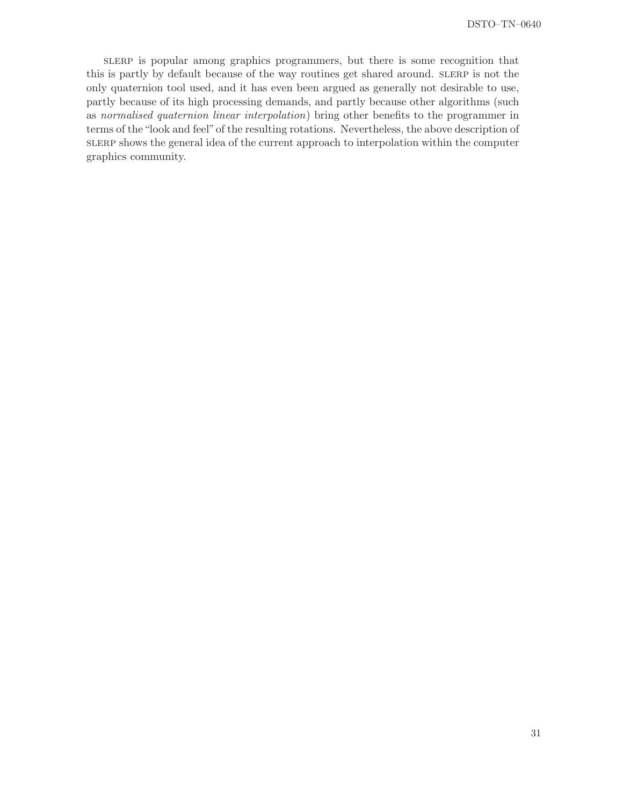slerp is popular among graphics programmers, but there is some recognition that this is partly by default because of the way routines get shared around. slerp is not the only quaternion tool used, and it has even been argued as generally not desirable to use, partly because of its high processing demands, and partly because other algorithms (such as normalised quaternion linear interpolation) bring other benefits to the programmer in terms of the "look and feel"of the resulting rotations. Nevertheless, the above description of slerp shows the general idea of the current approach to interpolation within the computer graphics community.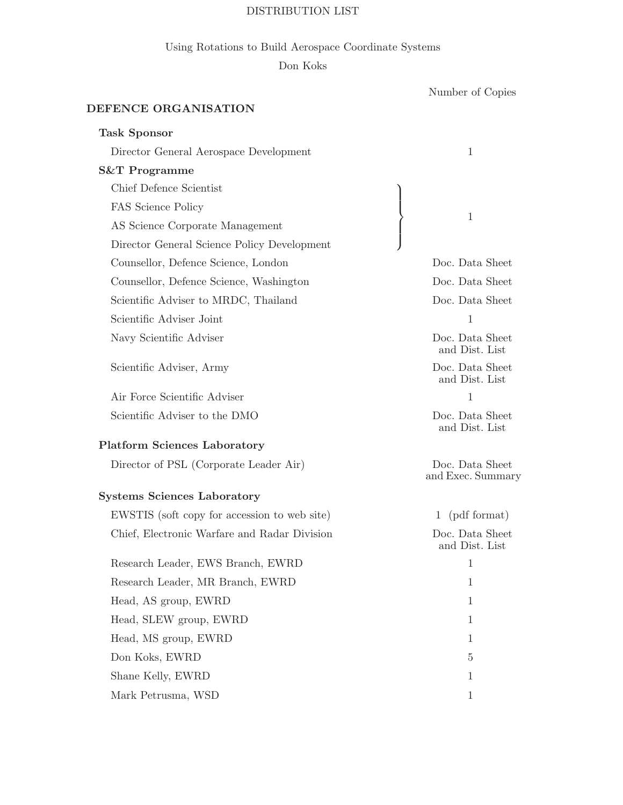#### DISTRIBUTION LIST

### Using Rotations to Build Aerospace Coordinate Systems

### Don Koks

Number of Copies

## DEFENCE ORGANISATION

| <b>Task Sponsor</b>                          |                                      |
|----------------------------------------------|--------------------------------------|
| Director General Aerospace Development       | 1                                    |
| <b>S&amp;T</b> Programme                     |                                      |
| Chief Defence Scientist                      |                                      |
| FAS Science Policy                           |                                      |
| AS Science Corporate Management              | $\mathbf{1}$                         |
| Director General Science Policy Development  |                                      |
| Counsellor, Defence Science, London          | Doc. Data Sheet                      |
| Counsellor, Defence Science, Washington      | Doc. Data Sheet                      |
| Scientific Adviser to MRDC, Thailand         | Doc. Data Sheet                      |
| Scientific Adviser Joint                     | 1                                    |
| Navy Scientific Adviser                      | Doc. Data Sheet<br>and Dist. List    |
| Scientific Adviser, Army                     | Doc. Data Sheet<br>and Dist. List    |
| Air Force Scientific Adviser                 | 1                                    |
| Scientific Adviser to the DMO                | Doc. Data Sheet<br>and Dist. List    |
| <b>Platform Sciences Laboratory</b>          |                                      |
| Director of PSL (Corporate Leader Air)       | Doc. Data Sheet<br>and Exec. Summary |
| <b>Systems Sciences Laboratory</b>           |                                      |
| EWSTIS (soft copy for accession to web site) | 1 (pdf format)                       |
| Chief, Electronic Warfare and Radar Division | Doc. Data Sheet<br>and Dist. List    |
| Research Leader, EWS Branch, EWRD            | 1                                    |
| Research Leader, MR Branch, EWRD             | 1                                    |
| Head, AS group, EWRD                         | $\mathbf 1$                          |
| Head, SLEW group, EWRD                       | 1                                    |
| Head, MS group, EWRD                         | 1                                    |
| Don Koks, EWRD                               | 5                                    |
| Shane Kelly, EWRD                            | $\mathbf{1}$                         |
| Mark Petrusma, WSD                           | $\mathbf{1}$                         |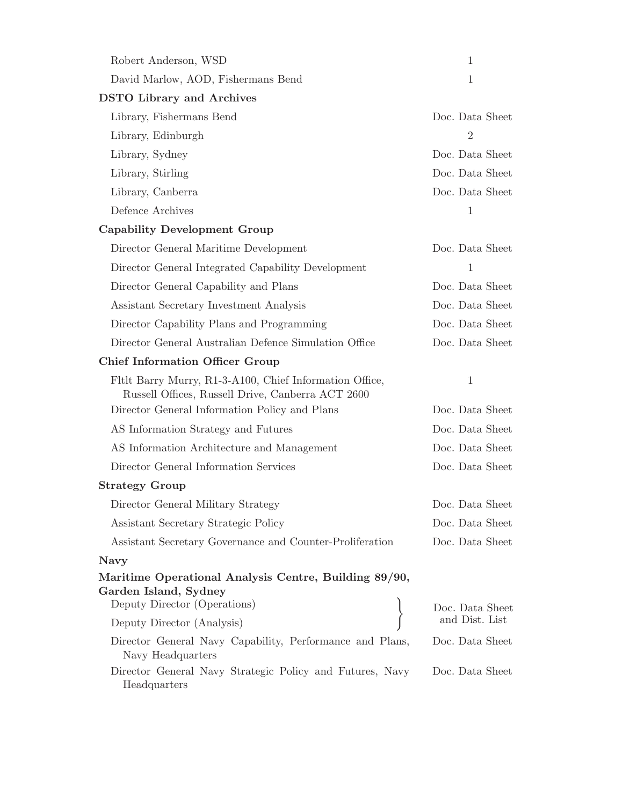| Robert Anderson, WSD                                                                                                                      | 1                                  |  |  |  |  |
|-------------------------------------------------------------------------------------------------------------------------------------------|------------------------------------|--|--|--|--|
| David Marlow, AOD, Fishermans Bend                                                                                                        | 1                                  |  |  |  |  |
| <b>DSTO</b> Library and Archives                                                                                                          |                                    |  |  |  |  |
| Library, Fishermans Bend                                                                                                                  | Doc. Data Sheet                    |  |  |  |  |
| Library, Edinburgh                                                                                                                        | $\overline{2}$                     |  |  |  |  |
| Library, Sydney                                                                                                                           | Doc. Data Sheet                    |  |  |  |  |
| Library, Stirling                                                                                                                         | Doc. Data Sheet                    |  |  |  |  |
| Library, Canberra                                                                                                                         | Doc. Data Sheet                    |  |  |  |  |
| Defence Archives                                                                                                                          | 1                                  |  |  |  |  |
| <b>Capability Development Group</b>                                                                                                       |                                    |  |  |  |  |
| Director General Maritime Development                                                                                                     | Doc. Data Sheet                    |  |  |  |  |
| Director General Integrated Capability Development                                                                                        | 1                                  |  |  |  |  |
| Director General Capability and Plans                                                                                                     | Doc. Data Sheet                    |  |  |  |  |
| Assistant Secretary Investment Analysis                                                                                                   | Doc. Data Sheet                    |  |  |  |  |
| Director Capability Plans and Programming                                                                                                 | Doc. Data Sheet                    |  |  |  |  |
| Director General Australian Defence Simulation Office                                                                                     | Doc. Data Sheet                    |  |  |  |  |
| <b>Chief Information Officer Group</b>                                                                                                    |                                    |  |  |  |  |
|                                                                                                                                           |                                    |  |  |  |  |
| Fltlt Barry Murry, R1-3-A100, Chief Information Office,<br>Russell Offices, Russell Drive, Canberra ACT 2600                              | $\mathbf{1}$                       |  |  |  |  |
| Director General Information Policy and Plans                                                                                             | Doc. Data Sheet                    |  |  |  |  |
| AS Information Strategy and Futures                                                                                                       | Doc. Data Sheet                    |  |  |  |  |
| AS Information Architecture and Management                                                                                                | Doc. Data Sheet                    |  |  |  |  |
| Director General Information Services                                                                                                     | Doc. Data Sheet                    |  |  |  |  |
| <b>Strategy Group</b>                                                                                                                     |                                    |  |  |  |  |
| Director General Military Strategy                                                                                                        | Doc. Data Sheet                    |  |  |  |  |
| Assistant Secretary Strategic Policy                                                                                                      | Doc. Data Sheet                    |  |  |  |  |
| Assistant Secretary Governance and Counter-Proliferation                                                                                  | Doc. Data Sheet                    |  |  |  |  |
| <b>Navy</b>                                                                                                                               |                                    |  |  |  |  |
| Maritime Operational Analysis Centre, Building 89/90,<br>Garden Island, Sydney                                                            |                                    |  |  |  |  |
| Deputy Director (Operations)                                                                                                              | Doc. Data Sheet                    |  |  |  |  |
| Deputy Director (Analysis)                                                                                                                | and Dist. List                     |  |  |  |  |
| Director General Navy Capability, Performance and Plans,<br>Navy Headquarters<br>Director General Navy Strategic Policy and Futures, Navy | Doc. Data Sheet<br>Doc. Data Sheet |  |  |  |  |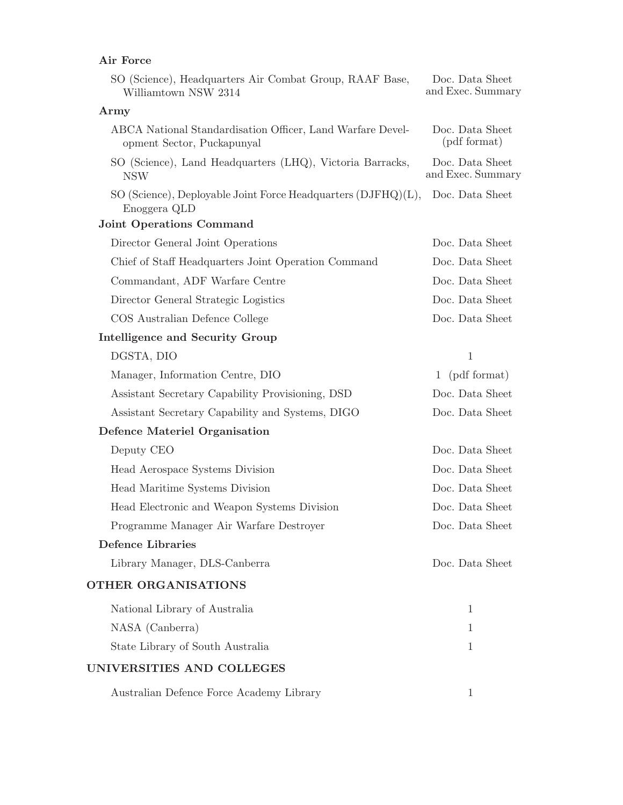### Air Force

| SO (Science), Headquarters Air Combat Group, RAAF Base,<br>Williamtown NSW 2314          | Doc. Data Sheet<br>and Exec. Summary |
|------------------------------------------------------------------------------------------|--------------------------------------|
| Army                                                                                     |                                      |
| ABCA National Standardisation Officer, Land Warfare Devel-<br>opment Sector, Puckapunyal | Doc. Data Sheet<br>(pdf format)      |
| SO (Science), Land Headquarters (LHQ), Victoria Barracks,<br><b>NSW</b>                  | Doc. Data Sheet<br>and Exec. Summary |
| SO (Science), Deployable Joint Force Headquarters (DJFHQ)(L),<br>Enoggera QLD            | Doc. Data Sheet                      |
| <b>Joint Operations Command</b>                                                          |                                      |
| Director General Joint Operations                                                        | Doc. Data Sheet                      |
| Chief of Staff Headquarters Joint Operation Command                                      | Doc. Data Sheet                      |
| Commandant, ADF Warfare Centre                                                           | Doc. Data Sheet                      |
| Director General Strategic Logistics                                                     | Doc. Data Sheet                      |
| COS Australian Defence College                                                           | Doc. Data Sheet                      |
| Intelligence and Security Group                                                          |                                      |
| DGSTA, DIO                                                                               | $\mathbf{1}$                         |
| Manager, Information Centre, DIO                                                         | 1 (pdf format)                       |
| Assistant Secretary Capability Provisioning, DSD                                         | Doc. Data Sheet                      |
| Assistant Secretary Capability and Systems, DIGO                                         | Doc. Data Sheet                      |
| Defence Materiel Organisation                                                            |                                      |
| Deputy CEO                                                                               | Doc. Data Sheet                      |
| Head Aerospace Systems Division                                                          | Doc. Data Sheet                      |
| Head Maritime Systems Division                                                           | Doc. Data Sheet                      |
| Head Electronic and Weapon Systems Division                                              | Doc. Data Sheet                      |
| Programme Manager Air Warfare Destroyer                                                  | Doc. Data Sheet                      |
| <b>Defence Libraries</b>                                                                 |                                      |
| Library Manager, DLS-Canberra                                                            | Doc. Data Sheet                      |
| OTHER ORGANISATIONS                                                                      |                                      |
| National Library of Australia                                                            | 1                                    |
| NASA (Canberra)                                                                          | 1                                    |
| State Library of South Australia                                                         | 1                                    |
| UNIVERSITIES AND COLLEGES                                                                |                                      |
| Australian Defence Force Academy Library                                                 | 1                                    |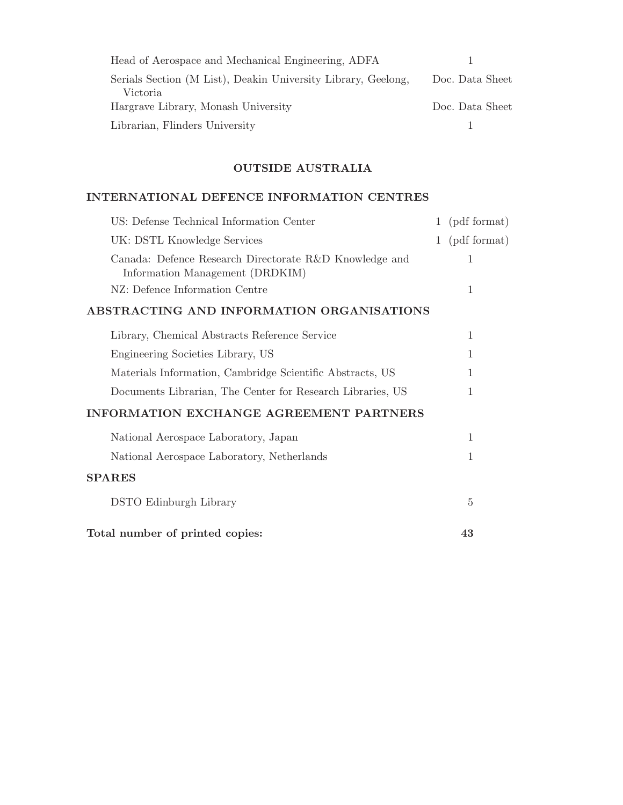| Head of Aerospace and Mechanical Engineering, ADFA                        |                 |  |  |
|---------------------------------------------------------------------------|-----------------|--|--|
| Serials Section (M List), Deakin University Library, Geelong,<br>Victoria | Doc. Data Sheet |  |  |
| Hargrave Library, Monash University                                       | Doc. Data Sheet |  |  |
| Librarian, Flinders University                                            |                 |  |  |

### OUTSIDE AUSTRALIA

### INTERNATIONAL DEFENCE INFORMATION CENTRES

| US: Defense Technical Information Center                                                  |   | 1 (pdf format) |
|-------------------------------------------------------------------------------------------|---|----------------|
| UK: DSTL Knowledge Services                                                               | 1 | (pdf format)   |
| Canada: Defence Research Directorate R&D Knowledge and<br>Information Management (DRDKIM) |   | 1              |
| NZ: Defence Information Centre                                                            |   | 1              |
| ABSTRACTING AND INFORMATION ORGANISATIONS                                                 |   |                |
| Library, Chemical Abstracts Reference Service                                             |   | 1              |
| Engineering Societies Library, US                                                         |   | 1              |
| Materials Information, Cambridge Scientific Abstracts, US                                 |   | 1              |
| Documents Librarian, The Center for Research Libraries, US                                |   | 1              |
| <b>INFORMATION EXCHANGE AGREEMENT PARTNERS</b>                                            |   |                |
| National Aerospace Laboratory, Japan                                                      |   | $\mathbf{1}$   |
| National Aerospace Laboratory, Netherlands                                                |   | 1              |
| <b>SPARES</b>                                                                             |   |                |
| DSTO Edinburgh Library                                                                    |   | 5              |
| Total number of printed copies:                                                           |   | 43             |